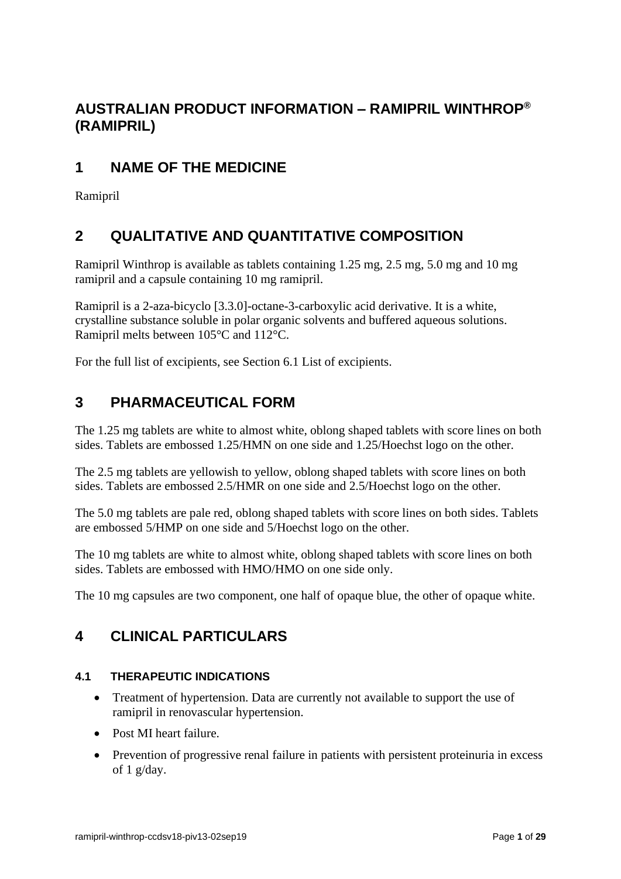# **AUSTRALIAN PRODUCT INFORMATION – RAMIPRIL WINTHROP® (RAMIPRIL)**

# **1 NAME OF THE MEDICINE**

Ramipril

# **2 QUALITATIVE AND QUANTITATIVE COMPOSITION**

Ramipril Winthrop is available as tablets containing 1.25 mg, 2.5 mg, 5.0 mg and 10 mg ramipril and a capsule containing 10 mg ramipril.

Ramipril is a 2-aza-bicyclo [3.3.0]-octane-3-carboxylic acid derivative. It is a white, crystalline substance soluble in polar organic solvents and buffered aqueous solutions. Ramipril melts between 105°C and 112°C.

For the full list of excipients, see Section [6.1](#page-26-0) List of excipients.

# **3 PHARMACEUTICAL FORM**

The 1.25 mg tablets are white to almost white, oblong shaped tablets with score lines on both sides. Tablets are embossed 1.25/HMN on one side and 1.25/Hoechst logo on the other.

The 2.5 mg tablets are yellowish to yellow, oblong shaped tablets with score lines on both sides. Tablets are embossed 2.5/HMR on one side and 2.5/Hoechst logo on the other.

The 5.0 mg tablets are pale red, oblong shaped tablets with score lines on both sides. Tablets are embossed 5/HMP on one side and 5/Hoechst logo on the other.

The 10 mg tablets are white to almost white, oblong shaped tablets with score lines on both sides. Tablets are embossed with HMO/HMO on one side only.

The 10 mg capsules are two component, one half of opaque blue, the other of opaque white.

# **4 CLINICAL PARTICULARS**

# **4.1 THERAPEUTIC INDICATIONS**

- Treatment of hypertension. Data are currently not available to support the use of ramipril in renovascular hypertension.
- Post MI heart failure.
- Prevention of progressive renal failure in patients with persistent proteinuria in excess of 1 g/day.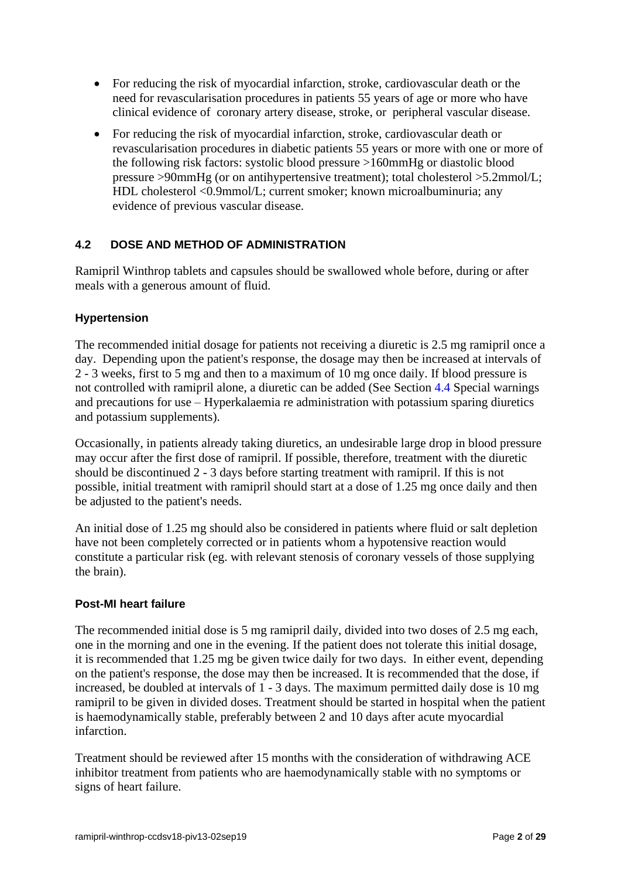- For reducing the risk of myocardial infarction, stroke, cardiovascular death or the need for revascularisation procedures in patients 55 years of age or more who have clinical evidence of coronary artery disease, stroke, or peripheral vascular disease.
- For reducing the risk of myocardial infarction, stroke, cardiovascular death or revascularisation procedures in diabetic patients 55 years or more with one or more of the following risk factors: systolic blood pressure >160mmHg or diastolic blood pressure >90mmHg (or on antihypertensive treatment); total cholesterol >5.2mmol/L; HDL cholesterol <0.9mmol/L; current smoker; known microalbuminuria; any evidence of previous vascular disease.

# <span id="page-1-0"></span>**4.2 DOSE AND METHOD OF ADMINISTRATION**

Ramipril Winthrop tablets and capsules should be swallowed whole before, during or after meals with a generous amount of fluid.

# **Hypertension**

The recommended initial dosage for patients not receiving a diuretic is 2.5 mg ramipril once a day. Depending upon the patient's response, the dosage may then be increased at intervals of 2 - 3 weeks, first to 5 mg and then to a maximum of 10 mg once daily. If blood pressure is not controlled with ramipril alone, a diuretic can be added (See Section [4.4](#page-3-0) Special warnings and precautions for use – Hyperkalaemia re administration with potassium sparing diuretics and potassium supplements).

Occasionally, in patients already taking diuretics, an undesirable large drop in blood pressure may occur after the first dose of ramipril. If possible, therefore, treatment with the diuretic should be discontinued 2 - 3 days before starting treatment with ramipril. If this is not possible, initial treatment with ramipril should start at a dose of 1.25 mg once daily and then be adjusted to the patient's needs.

An initial dose of 1.25 mg should also be considered in patients where fluid or salt depletion have not been completely corrected or in patients whom a hypotensive reaction would constitute a particular risk (eg. with relevant stenosis of coronary vessels of those supplying the brain).

## **Post-MI heart failure**

The recommended initial dose is 5 mg ramipril daily, divided into two doses of 2.5 mg each, one in the morning and one in the evening. If the patient does not tolerate this initial dosage, it is recommended that 1.25 mg be given twice daily for two days. In either event, depending on the patient's response, the dose may then be increased. It is recommended that the dose, if increased, be doubled at intervals of 1 - 3 days. The maximum permitted daily dose is 10 mg ramipril to be given in divided doses. Treatment should be started in hospital when the patient is haemodynamically stable, preferably between 2 and 10 days after acute myocardial infarction.

Treatment should be reviewed after 15 months with the consideration of withdrawing ACE inhibitor treatment from patients who are haemodynamically stable with no symptoms or signs of heart failure.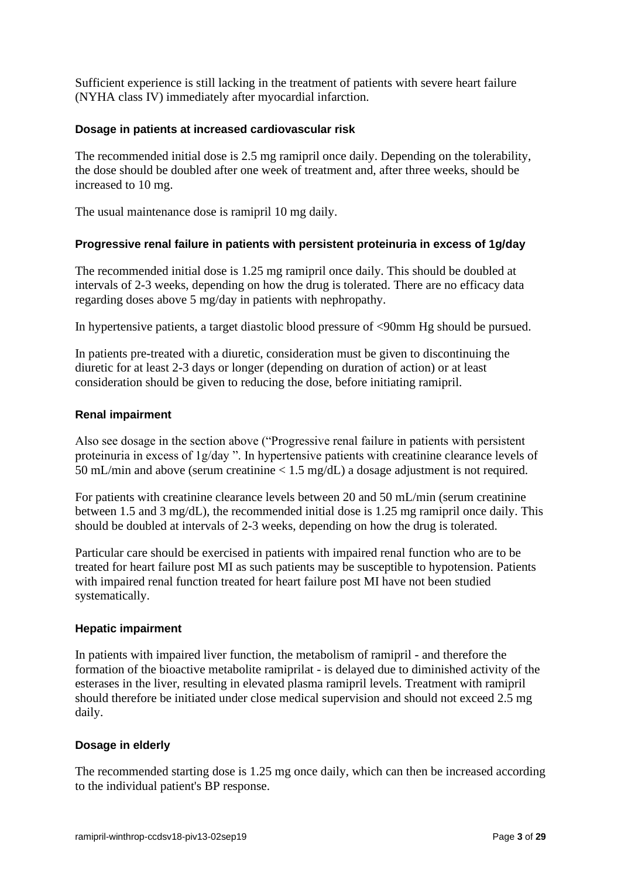Sufficient experience is still lacking in the treatment of patients with severe heart failure (NYHA class IV) immediately after myocardial infarction.

## **Dosage in patients at increased cardiovascular risk**

The recommended initial dose is 2.5 mg ramipril once daily. Depending on the tolerability, the dose should be doubled after one week of treatment and, after three weeks, should be increased to 10 mg.

The usual maintenance dose is ramipril 10 mg daily.

#### **Progressive renal failure in patients with persistent proteinuria in excess of 1g/day**

The recommended initial dose is 1.25 mg ramipril once daily. This should be doubled at intervals of 2-3 weeks, depending on how the drug is tolerated. There are no efficacy data regarding doses above 5 mg/day in patients with nephropathy.

In hypertensive patients, a target diastolic blood pressure of <90mm Hg should be pursued.

In patients pre-treated with a diuretic, consideration must be given to discontinuing the diuretic for at least 2-3 days or longer (depending on duration of action) or at least consideration should be given to reducing the dose, before initiating ramipril.

#### **Renal impairment**

Also see dosage in the section above ("Progressive renal failure in patients with persistent proteinuria in excess of 1g/day ". In hypertensive patients with creatinine clearance levels of 50 mL/min and above (serum creatinine < 1.5 mg/dL) a dosage adjustment is not required.

For patients with creatinine clearance levels between 20 and 50 mL/min (serum creatinine between 1.5 and 3 mg/dL), the recommended initial dose is 1.25 mg ramipril once daily. This should be doubled at intervals of 2-3 weeks, depending on how the drug is tolerated.

Particular care should be exercised in patients with impaired renal function who are to be treated for heart failure post MI as such patients may be susceptible to hypotension. Patients with impaired renal function treated for heart failure post MI have not been studied systematically.

#### **Hepatic impairment**

In patients with impaired liver function, the metabolism of ramipril - and therefore the formation of the bioactive metabolite ramiprilat - is delayed due to diminished activity of the esterases in the liver, resulting in elevated plasma ramipril levels. Treatment with ramipril should therefore be initiated under close medical supervision and should not exceed 2.5 mg daily.

## **Dosage in elderly**

The recommended starting dose is 1.25 mg once daily, which can then be increased according to the individual patient's BP response.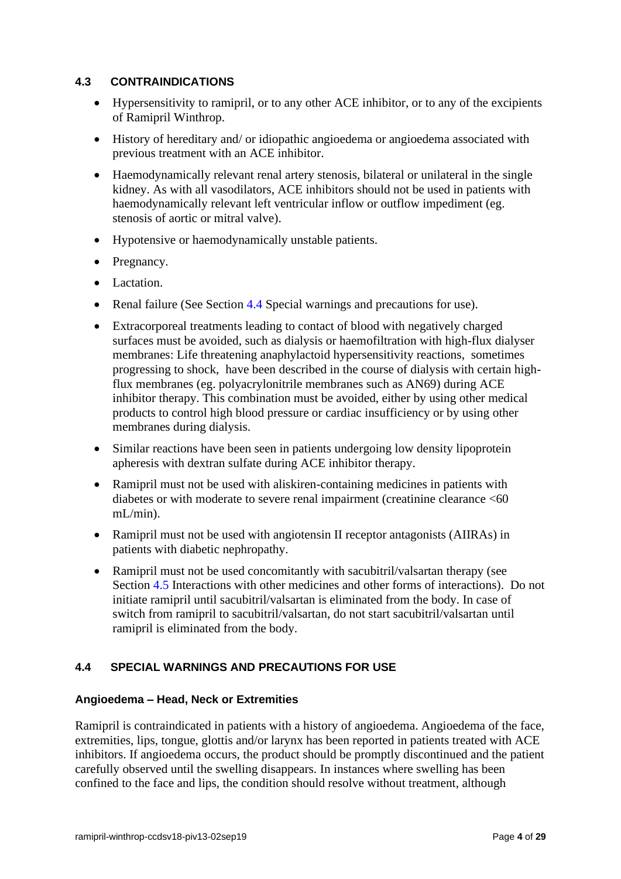## <span id="page-3-1"></span>**4.3 CONTRAINDICATIONS**

- Hypersensitivity to ramipril, or to any other ACE inhibitor, or to any of the excipients of Ramipril Winthrop.
- History of hereditary and/ or idiopathic angioedema or angioedema associated with previous treatment with an ACE inhibitor.
- Haemodynamically relevant renal artery stenosis, bilateral or unilateral in the single kidney. As with all vasodilators, ACE inhibitors should not be used in patients with haemodynamically relevant left ventricular inflow or outflow impediment (eg. stenosis of aortic or mitral valve).
- Hypotensive or haemodynamically unstable patients.
- Pregnancy.
- Lactation.
- Renal failure (See Section [4.4](#page-3-0) Special warnings and precautions for use).
- Extracorporeal treatments leading to contact of blood with negatively charged surfaces must be avoided, such as dialysis or haemofiltration with high-flux dialyser membranes: Life threatening anaphylactoid hypersensitivity reactions, sometimes progressing to shock, have been described in the course of dialysis with certain highflux membranes (eg. polyacrylonitrile membranes such as AN69) during ACE inhibitor therapy. This combination must be avoided, either by using other medical products to control high blood pressure or cardiac insufficiency or by using other membranes during dialysis.
- Similar reactions have been seen in patients undergoing low density lipoprotein apheresis with dextran sulfate during ACE inhibitor therapy.
- Ramipril must not be used with aliskiren-containing medicines in patients with diabetes or with moderate to severe renal impairment (creatinine clearance <60 mL/min).
- Ramipril must not be used with angiotensin II receptor antagonists (AIIRAs) in patients with diabetic nephropathy.
- Ramipril must not be used concomitantly with sacubitril/valsartan therapy (see Section [4.5](#page-10-0) Interactions with other medicines and other forms of interactions). Do not initiate ramipril until sacubitril/valsartan is eliminated from the body. In case of switch from ramipril to sacubitril/valsartan, do not start sacubitril/valsartan until ramipril is eliminated from the body.

# <span id="page-3-0"></span>**4.4 SPECIAL WARNINGS AND PRECAUTIONS FOR USE**

## **Angioedema – Head, Neck or Extremities**

Ramipril is contraindicated in patients with a history of angioedema. Angioedema of the face, extremities, lips, tongue, glottis and/or larynx has been reported in patients treated with ACE inhibitors. If angioedema occurs, the product should be promptly discontinued and the patient carefully observed until the swelling disappears. In instances where swelling has been confined to the face and lips, the condition should resolve without treatment, although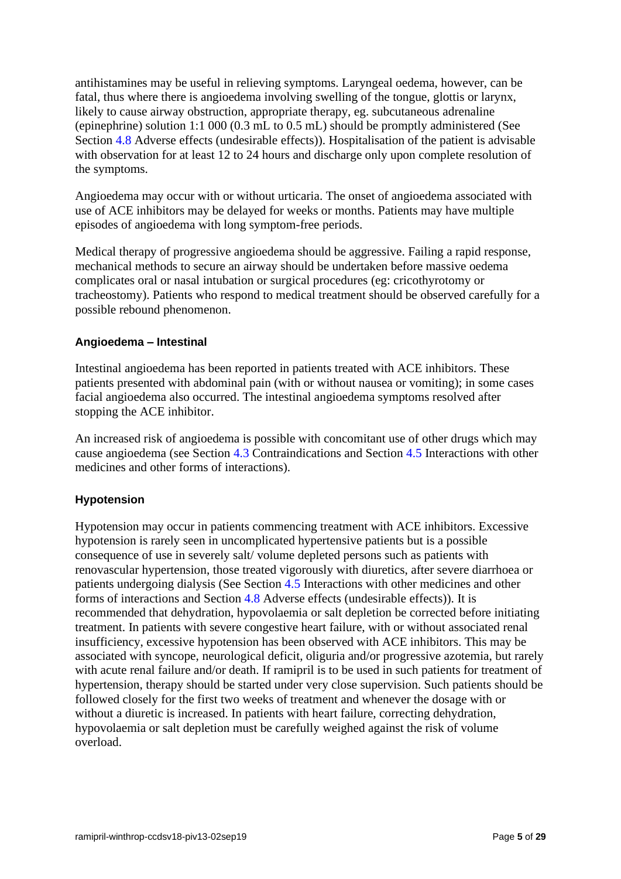antihistamines may be useful in relieving symptoms. Laryngeal oedema, however, can be fatal, thus where there is angioedema involving swelling of the tongue, glottis or larynx, likely to cause airway obstruction, appropriate therapy, eg. subcutaneous adrenaline (epinephrine) solution 1:1 000 (0.3 mL to 0.5 mL) should be promptly administered (See Section [4.8](#page-14-0) Adverse effects (undesirable effects)). Hospitalisation of the patient is advisable with observation for at least 12 to 24 hours and discharge only upon complete resolution of the symptoms.

Angioedema may occur with or without urticaria. The onset of angioedema associated with use of ACE inhibitors may be delayed for weeks or months. Patients may have multiple episodes of angioedema with long symptom-free periods.

Medical therapy of progressive angioedema should be aggressive. Failing a rapid response, mechanical methods to secure an airway should be undertaken before massive oedema complicates oral or nasal intubation or surgical procedures (eg: cricothyrotomy or tracheostomy). Patients who respond to medical treatment should be observed carefully for a possible rebound phenomenon.

# **Angioedema – Intestinal**

Intestinal angioedema has been reported in patients treated with ACE inhibitors. These patients presented with abdominal pain (with or without nausea or vomiting); in some cases facial angioedema also occurred. The intestinal angioedema symptoms resolved after stopping the ACE inhibitor.

An increased risk of angioedema is possible with concomitant use of other drugs which may cause angioedema (see Section [4.3](#page-3-1) Contraindications and Section [4.5](#page-10-0) Interactions with other medicines and other forms of interactions).

# **Hypotension**

Hypotension may occur in patients commencing treatment with ACE inhibitors. Excessive hypotension is rarely seen in uncomplicated hypertensive patients but is a possible consequence of use in severely salt/ volume depleted persons such as patients with renovascular hypertension, those treated vigorously with diuretics, after severe diarrhoea or patients undergoing dialysis (See Section [4.5](#page-10-0) Interactions with other medicines and other forms of interactions and Section [4.8](#page-14-0) Adverse effects (undesirable effects)). It is recommended that dehydration, hypovolaemia or salt depletion be corrected before initiating treatment. In patients with severe congestive heart failure, with or without associated renal insufficiency, excessive hypotension has been observed with ACE inhibitors. This may be associated with syncope, neurological deficit, oliguria and/or progressive azotemia, but rarely with acute renal failure and/or death. If ramipril is to be used in such patients for treatment of hypertension, therapy should be started under very close supervision. Such patients should be followed closely for the first two weeks of treatment and whenever the dosage with or without a diuretic is increased. In patients with heart failure, correcting dehydration, hypovolaemia or salt depletion must be carefully weighed against the risk of volume overload.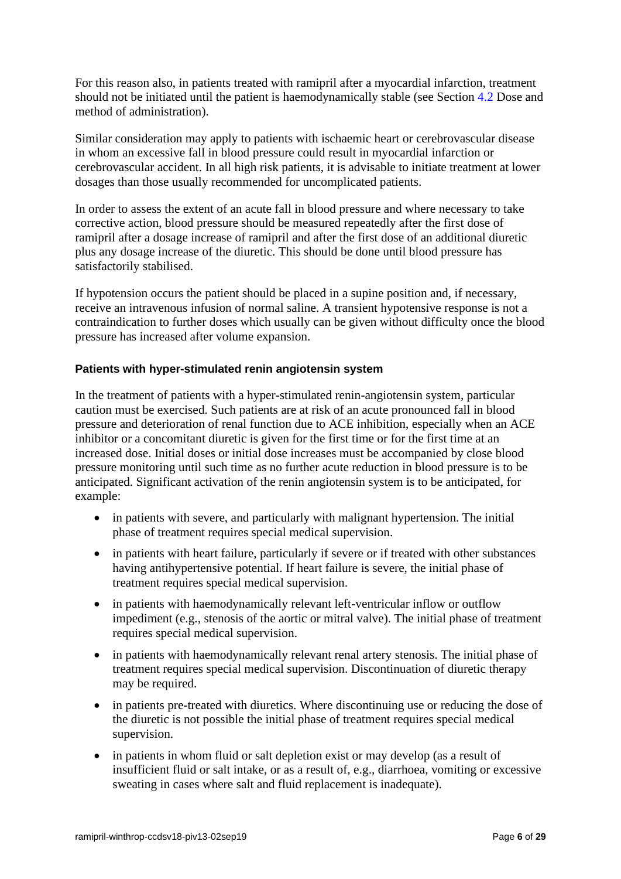For this reason also, in patients treated with ramipril after a myocardial infarction, treatment should not be initiated until the patient is haemodynamically stable (see Section [4.2](#page-1-0) Dose and method of administration).

Similar consideration may apply to patients with ischaemic heart or cerebrovascular disease in whom an excessive fall in blood pressure could result in myocardial infarction or cerebrovascular accident. In all high risk patients, it is advisable to initiate treatment at lower dosages than those usually recommended for uncomplicated patients.

In order to assess the extent of an acute fall in blood pressure and where necessary to take corrective action, blood pressure should be measured repeatedly after the first dose of ramipril after a dosage increase of ramipril and after the first dose of an additional diuretic plus any dosage increase of the diuretic. This should be done until blood pressure has satisfactorily stabilised.

If hypotension occurs the patient should be placed in a supine position and, if necessary, receive an intravenous infusion of normal saline. A transient hypotensive response is not a contraindication to further doses which usually can be given without difficulty once the blood pressure has increased after volume expansion.

## **Patients with hyper-stimulated renin angiotensin system**

In the treatment of patients with a hyper-stimulated renin-angiotensin system, particular caution must be exercised. Such patients are at risk of an acute pronounced fall in blood pressure and deterioration of renal function due to ACE inhibition, especially when an ACE inhibitor or a concomitant diuretic is given for the first time or for the first time at an increased dose. Initial doses or initial dose increases must be accompanied by close blood pressure monitoring until such time as no further acute reduction in blood pressure is to be anticipated. Significant activation of the renin angiotensin system is to be anticipated, for example:

- in patients with severe, and particularly with malignant hypertension. The initial phase of treatment requires special medical supervision.
- in patients with heart failure, particularly if severe or if treated with other substances having antihypertensive potential. If heart failure is severe, the initial phase of treatment requires special medical supervision.
- in patients with haemodynamically relevant left-ventricular inflow or outflow impediment (e.g., stenosis of the aortic or mitral valve). The initial phase of treatment requires special medical supervision.
- in patients with haemodynamically relevant renal artery stenosis. The initial phase of treatment requires special medical supervision. Discontinuation of diuretic therapy may be required.
- in patients pre-treated with diuretics. Where discontinuing use or reducing the dose of the diuretic is not possible the initial phase of treatment requires special medical supervision.
- in patients in whom fluid or salt depletion exist or may develop (as a result of insufficient fluid or salt intake, or as a result of, e.g., diarrhoea, vomiting or excessive sweating in cases where salt and fluid replacement is inadequate).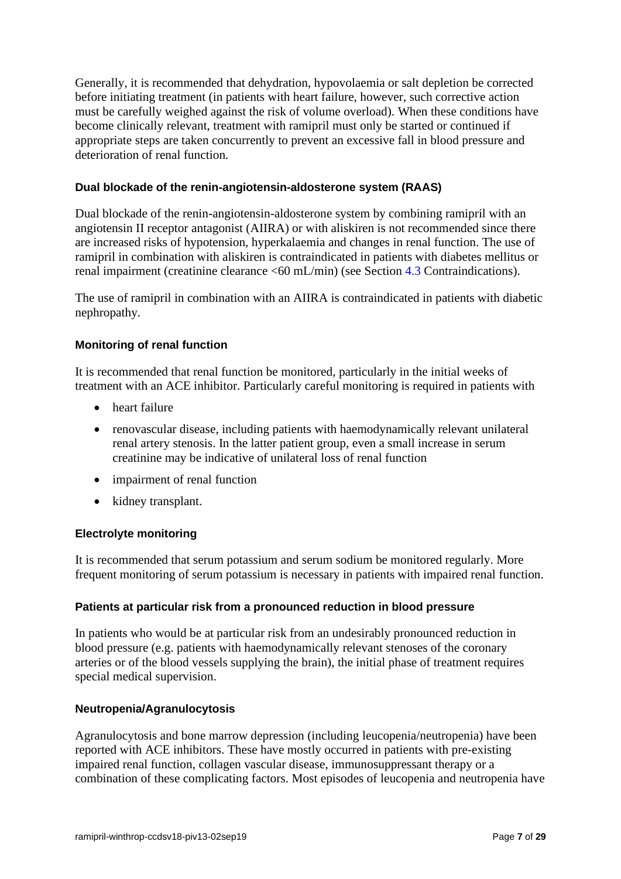Generally, it is recommended that dehydration, hypovolaemia or salt depletion be corrected before initiating treatment (in patients with heart failure, however, such corrective action must be carefully weighed against the risk of volume overload). When these conditions have become clinically relevant, treatment with ramipril must only be started or continued if appropriate steps are taken concurrently to prevent an excessive fall in blood pressure and deterioration of renal function.

# **Dual blockade of the renin-angiotensin-aldosterone system (RAAS)**

Dual blockade of the renin-angiotensin-aldosterone system by combining ramipril with an angiotensin II receptor antagonist (AIIRA) or with aliskiren is not recommended since there are increased risks of hypotension, hyperkalaemia and changes in renal function. The use of ramipril in combination with aliskiren is contraindicated in patients with diabetes mellitus or renal impairment (creatinine clearance <60 mL/min) (see Section [4.3](#page-3-1) Contraindications).

The use of ramipril in combination with an AIIRA is contraindicated in patients with diabetic nephropathy.

# **Monitoring of renal function**

It is recommended that renal function be monitored, particularly in the initial weeks of treatment with an ACE inhibitor. Particularly careful monitoring is required in patients with

- heart failure
- renovascular disease, including patients with haemodynamically relevant unilateral renal artery stenosis. In the latter patient group, even a small increase in serum creatinine may be indicative of unilateral loss of renal function
- impairment of renal function
- kidney transplant.

## **Electrolyte monitoring**

It is recommended that serum potassium and serum sodium be monitored regularly. More frequent monitoring of serum potassium is necessary in patients with impaired renal function.

## **Patients at particular risk from a pronounced reduction in blood pressure**

In patients who would be at particular risk from an undesirably pronounced reduction in blood pressure (e.g. patients with haemodynamically relevant stenoses of the coronary arteries or of the blood vessels supplying the brain), the initial phase of treatment requires special medical supervision.

## **Neutropenia/Agranulocytosis**

Agranulocytosis and bone marrow depression (including leucopenia/neutropenia) have been reported with ACE inhibitors. These have mostly occurred in patients with pre-existing impaired renal function, collagen vascular disease, immunosuppressant therapy or a combination of these complicating factors. Most episodes of leucopenia and neutropenia have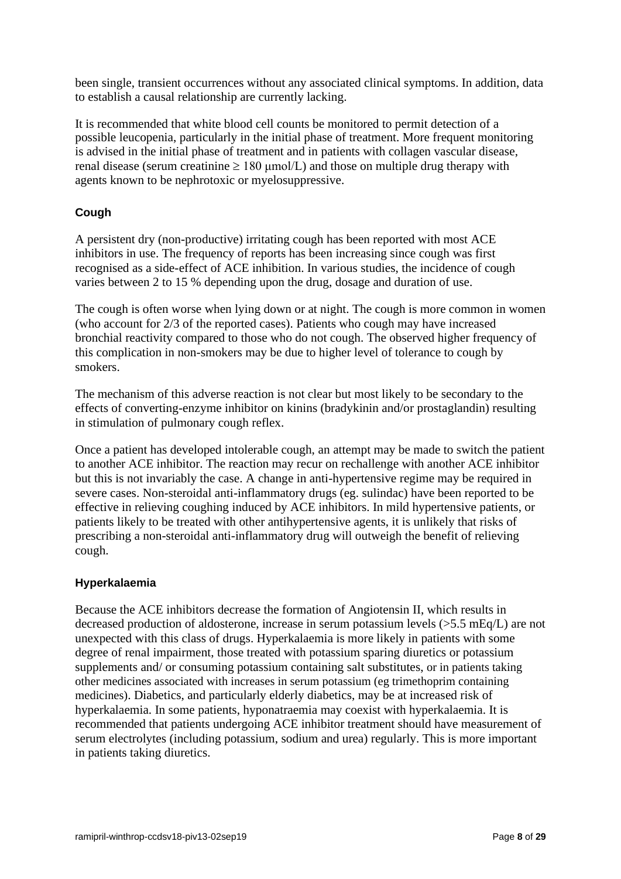been single, transient occurrences without any associated clinical symptoms. In addition, data to establish a causal relationship are currently lacking.

It is recommended that white blood cell counts be monitored to permit detection of a possible leucopenia, particularly in the initial phase of treatment. More frequent monitoring is advised in the initial phase of treatment and in patients with collagen vascular disease, renal disease (serum creatinine  $\geq 180 \text{ µmol/L}$ ) and those on multiple drug therapy with agents known to be nephrotoxic or myelosuppressive.

# **Cough**

A persistent dry (non-productive) irritating cough has been reported with most ACE inhibitors in use. The frequency of reports has been increasing since cough was first recognised as a side-effect of ACE inhibition. In various studies, the incidence of cough varies between 2 to 15 % depending upon the drug, dosage and duration of use.

The cough is often worse when lying down or at night. The cough is more common in women (who account for 2/3 of the reported cases). Patients who cough may have increased bronchial reactivity compared to those who do not cough. The observed higher frequency of this complication in non-smokers may be due to higher level of tolerance to cough by smokers.

The mechanism of this adverse reaction is not clear but most likely to be secondary to the effects of converting-enzyme inhibitor on kinins (bradykinin and/or prostaglandin) resulting in stimulation of pulmonary cough reflex.

Once a patient has developed intolerable cough, an attempt may be made to switch the patient to another ACE inhibitor. The reaction may recur on rechallenge with another ACE inhibitor but this is not invariably the case. A change in anti-hypertensive regime may be required in severe cases. Non-steroidal anti-inflammatory drugs (eg. sulindac) have been reported to be effective in relieving coughing induced by ACE inhibitors. In mild hypertensive patients, or patients likely to be treated with other antihypertensive agents, it is unlikely that risks of prescribing a non-steroidal anti-inflammatory drug will outweigh the benefit of relieving cough.

# **Hyperkalaemia**

Because the ACE inhibitors decrease the formation of Angiotensin II, which results in decreased production of aldosterone, increase in serum potassium levels (>5.5 mEq/L) are not unexpected with this class of drugs. Hyperkalaemia is more likely in patients with some degree of renal impairment, those treated with potassium sparing diuretics or potassium supplements and/ or consuming potassium containing salt substitutes, or in patients taking other medicines associated with increases in serum potassium (eg trimethoprim containing medicines). Diabetics, and particularly elderly diabetics, may be at increased risk of hyperkalaemia. In some patients, hyponatraemia may coexist with hyperkalaemia. It is recommended that patients undergoing ACE inhibitor treatment should have measurement of serum electrolytes (including potassium, sodium and urea) regularly. This is more important in patients taking diuretics.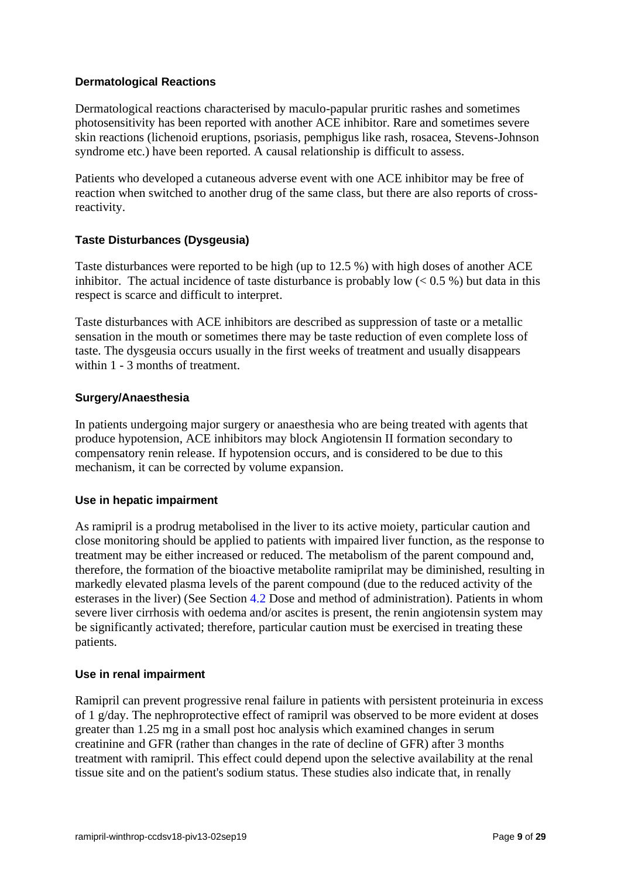## **Dermatological Reactions**

Dermatological reactions characterised by maculo-papular pruritic rashes and sometimes photosensitivity has been reported with another ACE inhibitor. Rare and sometimes severe skin reactions (lichenoid eruptions, psoriasis, pemphigus like rash, rosacea, Stevens-Johnson syndrome etc.) have been reported. A causal relationship is difficult to assess.

Patients who developed a cutaneous adverse event with one ACE inhibitor may be free of reaction when switched to another drug of the same class, but there are also reports of crossreactivity.

# **Taste Disturbances (Dysgeusia)**

Taste disturbances were reported to be high (up to 12.5 %) with high doses of another ACE inhibitor. The actual incidence of taste disturbance is probably low  $(< 0.5\%$ ) but data in this respect is scarce and difficult to interpret.

Taste disturbances with ACE inhibitors are described as suppression of taste or a metallic sensation in the mouth or sometimes there may be taste reduction of even complete loss of taste. The dysgeusia occurs usually in the first weeks of treatment and usually disappears within 1 - 3 months of treatment.

# **Surgery/Anaesthesia**

In patients undergoing major surgery or anaesthesia who are being treated with agents that produce hypotension, ACE inhibitors may block Angiotensin II formation secondary to compensatory renin release. If hypotension occurs, and is considered to be due to this mechanism, it can be corrected by volume expansion.

## **Use in hepatic impairment**

As ramipril is a prodrug metabolised in the liver to its active moiety, particular caution and close monitoring should be applied to patients with impaired liver function, as the response to treatment may be either increased or reduced. The metabolism of the parent compound and, therefore, the formation of the bioactive metabolite ramiprilat may be diminished, resulting in markedly elevated plasma levels of the parent compound (due to the reduced activity of the esterases in the liver) (See Section [4.2](#page-1-0) Dose and method of administration). Patients in whom severe liver cirrhosis with oedema and/or ascites is present, the renin angiotensin system may be significantly activated; therefore, particular caution must be exercised in treating these patients.

## **Use in renal impairment**

Ramipril can prevent progressive renal failure in patients with persistent proteinuria in excess of 1 g/day. The nephroprotective effect of ramipril was observed to be more evident at doses greater than 1.25 mg in a small post hoc analysis which examined changes in serum creatinine and GFR (rather than changes in the rate of decline of GFR) after 3 months treatment with ramipril. This effect could depend upon the selective availability at the renal tissue site and on the patient's sodium status. These studies also indicate that, in renally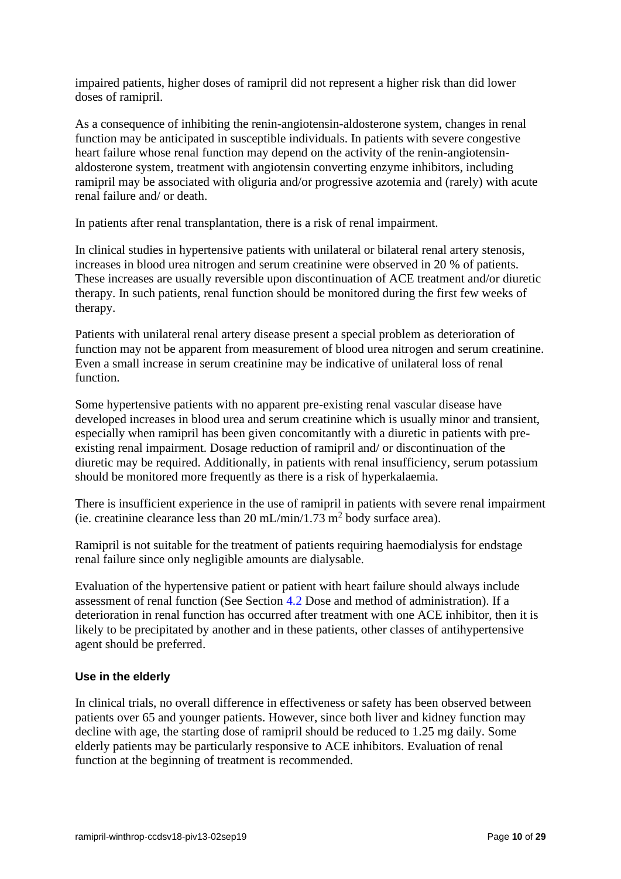impaired patients, higher doses of ramipril did not represent a higher risk than did lower doses of ramipril.

As a consequence of inhibiting the renin-angiotensin-aldosterone system, changes in renal function may be anticipated in susceptible individuals. In patients with severe congestive heart failure whose renal function may depend on the activity of the renin-angiotensinaldosterone system, treatment with angiotensin converting enzyme inhibitors, including ramipril may be associated with oliguria and/or progressive azotemia and (rarely) with acute renal failure and/ or death.

In patients after renal transplantation, there is a risk of renal impairment.

In clinical studies in hypertensive patients with unilateral or bilateral renal artery stenosis, increases in blood urea nitrogen and serum creatinine were observed in 20 % of patients. These increases are usually reversible upon discontinuation of ACE treatment and/or diuretic therapy. In such patients, renal function should be monitored during the first few weeks of therapy.

Patients with unilateral renal artery disease present a special problem as deterioration of function may not be apparent from measurement of blood urea nitrogen and serum creatinine. Even a small increase in serum creatinine may be indicative of unilateral loss of renal function.

Some hypertensive patients with no apparent pre-existing renal vascular disease have developed increases in blood urea and serum creatinine which is usually minor and transient, especially when ramipril has been given concomitantly with a diuretic in patients with preexisting renal impairment. Dosage reduction of ramipril and/ or discontinuation of the diuretic may be required. Additionally, in patients with renal insufficiency, serum potassium should be monitored more frequently as there is a risk of hyperkalaemia.

There is insufficient experience in the use of ramipril in patients with severe renal impairment (ie. creatinine clearance less than 20 mL/min/1.73 m<sup>2</sup> body surface area).

Ramipril is not suitable for the treatment of patients requiring haemodialysis for endstage renal failure since only negligible amounts are dialysable.

Evaluation of the hypertensive patient or patient with heart failure should always include assessment of renal function (See Section [4.2](#page-1-0) Dose and method of administration). If a deterioration in renal function has occurred after treatment with one ACE inhibitor, then it is likely to be precipitated by another and in these patients, other classes of antihypertensive agent should be preferred.

## **Use in the elderly**

In clinical trials, no overall difference in effectiveness or safety has been observed between patients over 65 and younger patients. However, since both liver and kidney function may decline with age, the starting dose of ramipril should be reduced to 1.25 mg daily. Some elderly patients may be particularly responsive to ACE inhibitors. Evaluation of renal function at the beginning of treatment is recommended.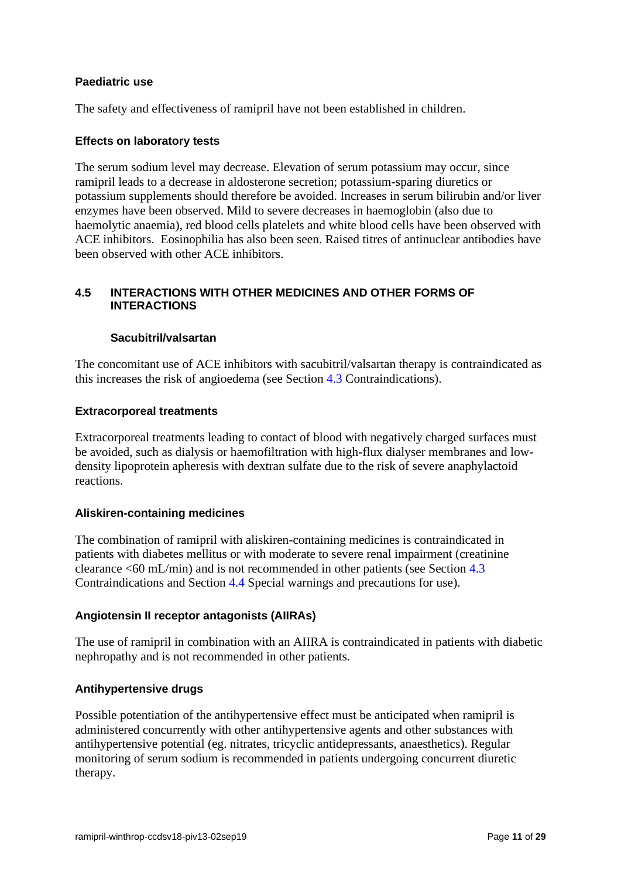## **Paediatric use**

The safety and effectiveness of ramipril have not been established in children.

#### **Effects on laboratory tests**

The serum sodium level may decrease. Elevation of serum potassium may occur, since ramipril leads to a decrease in aldosterone secretion; potassium-sparing diuretics or potassium supplements should therefore be avoided. Increases in serum bilirubin and/or liver enzymes have been observed. Mild to severe decreases in haemoglobin (also due to haemolytic anaemia), red blood cells platelets and white blood cells have been observed with ACE inhibitors. Eosinophilia has also been seen. Raised titres of antinuclear antibodies have been observed with other ACE inhibitors.

## <span id="page-10-0"></span>**4.5 INTERACTIONS WITH OTHER MEDICINES AND OTHER FORMS OF INTERACTIONS**

#### **Sacubitril/valsartan**

The concomitant use of ACE inhibitors with sacubitril/valsartan therapy is contraindicated as this increases the risk of angioedema (see Section [4.3](#page-3-1) Contraindications).

#### **Extracorporeal treatments**

Extracorporeal treatments leading to contact of blood with negatively charged surfaces must be avoided, such as dialysis or haemofiltration with high-flux dialyser membranes and lowdensity lipoprotein apheresis with dextran sulfate due to the risk of severe anaphylactoid reactions.

#### **Aliskiren-containing medicines**

The combination of ramipril with aliskiren-containing medicines is contraindicated in patients with diabetes mellitus or with moderate to severe renal impairment (creatinine clearance <60 mL/min) and is not recommended in other patients (see Section [4.3](#page-3-1) Contraindications and Section [4.4](#page-3-0) Special warnings and precautions for use).

#### **Angiotensin II receptor antagonists (AIIRAs)**

The use of ramipril in combination with an AIIRA is contraindicated in patients with diabetic nephropathy and is not recommended in other patients.

#### **Antihypertensive drugs**

Possible potentiation of the antihypertensive effect must be anticipated when ramipril is administered concurrently with other antihypertensive agents and other substances with antihypertensive potential (eg. nitrates, tricyclic antidepressants, anaesthetics). Regular monitoring of serum sodium is recommended in patients undergoing concurrent diuretic therapy.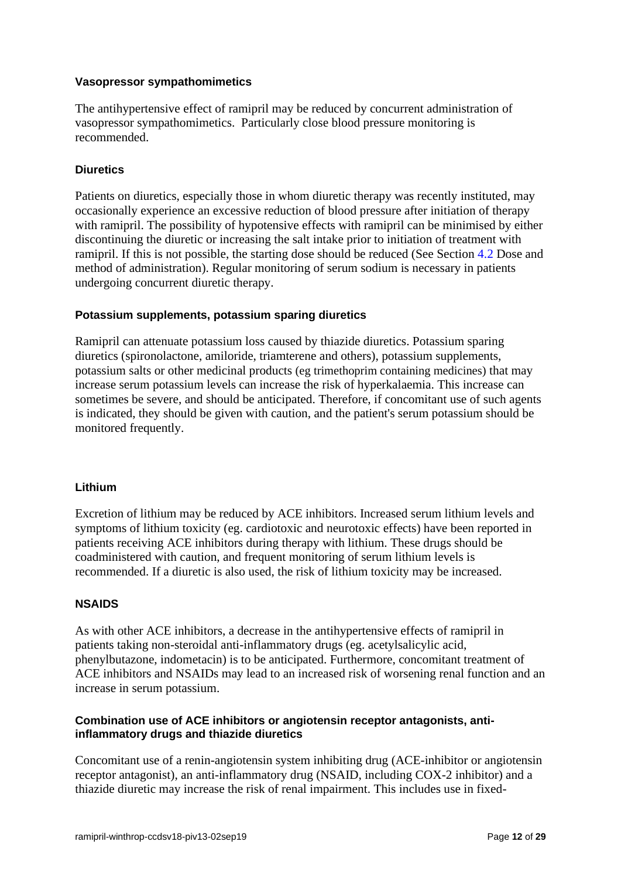## **Vasopressor sympathomimetics**

The antihypertensive effect of ramipril may be reduced by concurrent administration of vasopressor sympathomimetics. Particularly close blood pressure monitoring is recommended.

#### **Diuretics**

Patients on diuretics, especially those in whom diuretic therapy was recently instituted, may occasionally experience an excessive reduction of blood pressure after initiation of therapy with ramipril. The possibility of hypotensive effects with ramipril can be minimised by either discontinuing the diuretic or increasing the salt intake prior to initiation of treatment with ramipril. If this is not possible, the starting dose should be reduced (See Section [4.2](#page-1-0) Dose and method of administration). Regular monitoring of serum sodium is necessary in patients undergoing concurrent diuretic therapy.

#### **Potassium supplements, potassium sparing diuretics**

Ramipril can attenuate potassium loss caused by thiazide diuretics. Potassium sparing diuretics (spironolactone, amiloride, triamterene and others), potassium supplements, potassium salts or other medicinal products (eg trimethoprim containing medicines) that may increase serum potassium levels can increase the risk of hyperkalaemia. This increase can sometimes be severe, and should be anticipated. Therefore, if concomitant use of such agents is indicated, they should be given with caution, and the patient's serum potassium should be monitored frequently.

#### **Lithium**

Excretion of lithium may be reduced by ACE inhibitors. Increased serum lithium levels and symptoms of lithium toxicity (eg. cardiotoxic and neurotoxic effects) have been reported in patients receiving ACE inhibitors during therapy with lithium. These drugs should be coadministered with caution, and frequent monitoring of serum lithium levels is recommended. If a diuretic is also used, the risk of lithium toxicity may be increased.

#### **NSAIDS**

As with other ACE inhibitors, a decrease in the antihypertensive effects of ramipril in patients taking non-steroidal anti-inflammatory drugs (eg. acetylsalicylic acid, phenylbutazone, indometacin) is to be anticipated. Furthermore, concomitant treatment of ACE inhibitors and NSAIDs may lead to an increased risk of worsening renal function and an increase in serum potassium.

## **Combination use of ACE inhibitors or angiotensin receptor antagonists, antiinflammatory drugs and thiazide diuretics**

Concomitant use of a renin-angiotensin system inhibiting drug (ACE-inhibitor or angiotensin receptor antagonist), an anti-inflammatory drug (NSAID, including COX-2 inhibitor) and a thiazide diuretic may increase the risk of renal impairment. This includes use in fixed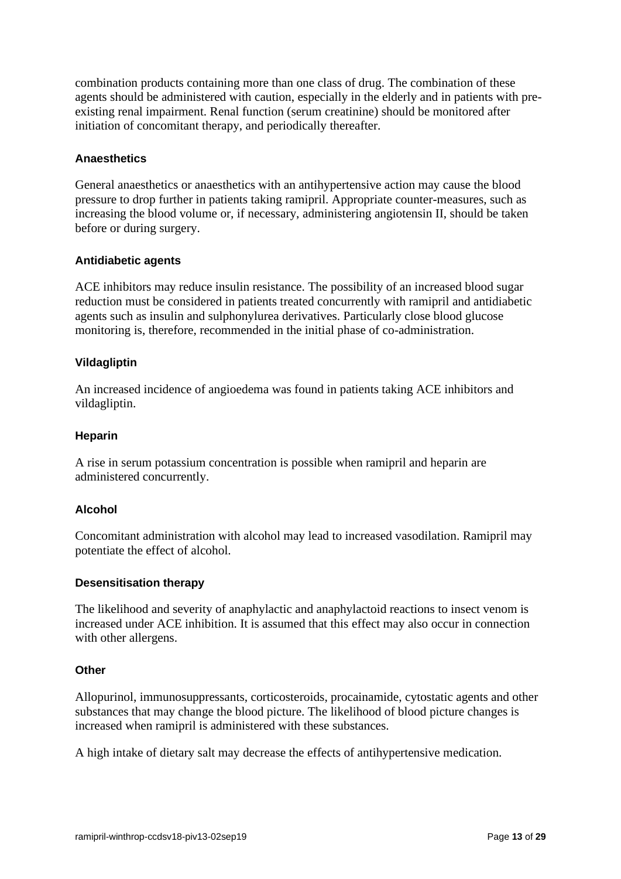combination products containing more than one class of drug. The combination of these agents should be administered with caution, especially in the elderly and in patients with preexisting renal impairment. Renal function (serum creatinine) should be monitored after initiation of concomitant therapy, and periodically thereafter.

#### **Anaesthetics**

General anaesthetics or anaesthetics with an antihypertensive action may cause the blood pressure to drop further in patients taking ramipril. Appropriate counter-measures, such as increasing the blood volume or, if necessary, administering angiotensin II, should be taken before or during surgery.

#### **Antidiabetic agents**

ACE inhibitors may reduce insulin resistance. The possibility of an increased blood sugar reduction must be considered in patients treated concurrently with ramipril and antidiabetic agents such as insulin and sulphonylurea derivatives. Particularly close blood glucose monitoring is, therefore, recommended in the initial phase of co-administration.

#### **Vildagliptin**

An increased incidence of angioedema was found in patients taking ACE inhibitors and vildagliptin.

#### **Heparin**

A rise in serum potassium concentration is possible when ramipril and heparin are administered concurrently.

#### **Alcohol**

Concomitant administration with alcohol may lead to increased vasodilation. Ramipril may potentiate the effect of alcohol.

#### **Desensitisation therapy**

The likelihood and severity of anaphylactic and anaphylactoid reactions to insect venom is increased under ACE inhibition. It is assumed that this effect may also occur in connection with other allergens.

#### **Other**

Allopurinol, immunosuppressants, corticosteroids, procainamide, cytostatic agents and other substances that may change the blood picture. The likelihood of blood picture changes is increased when ramipril is administered with these substances.

A high intake of dietary salt may decrease the effects of antihypertensive medication.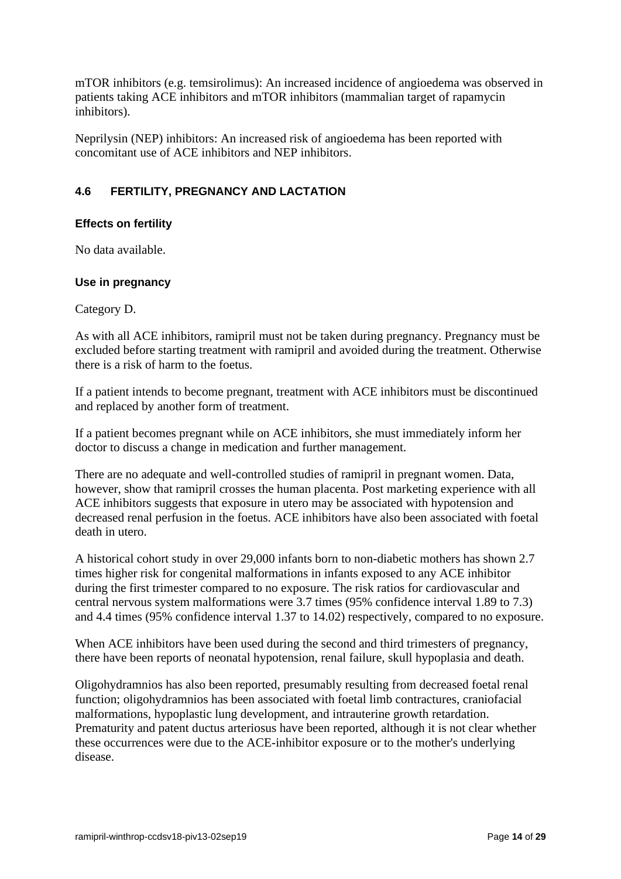mTOR inhibitors (e.g. temsirolimus): An increased incidence of angioedema was observed in patients taking ACE inhibitors and mTOR inhibitors (mammalian target of rapamycin inhibitors).

Neprilysin (NEP) inhibitors: An increased risk of angioedema has been reported with concomitant use of ACE inhibitors and NEP inhibitors.

# **4.6 FERTILITY, PREGNANCY AND LACTATION**

# **Effects on fertility**

No data available.

## **Use in pregnancy**

Category D.

As with all ACE inhibitors, ramipril must not be taken during pregnancy. Pregnancy must be excluded before starting treatment with ramipril and avoided during the treatment. Otherwise there is a risk of harm to the foetus.

If a patient intends to become pregnant, treatment with ACE inhibitors must be discontinued and replaced by another form of treatment.

If a patient becomes pregnant while on ACE inhibitors, she must immediately inform her doctor to discuss a change in medication and further management.

There are no adequate and well-controlled studies of ramipril in pregnant women. Data, however, show that ramipril crosses the human placenta. Post marketing experience with all ACE inhibitors suggests that exposure in utero may be associated with hypotension and decreased renal perfusion in the foetus. ACE inhibitors have also been associated with foetal death in utero.

A historical cohort study in over 29,000 infants born to non-diabetic mothers has shown 2.7 times higher risk for congenital malformations in infants exposed to any ACE inhibitor during the first trimester compared to no exposure. The risk ratios for cardiovascular and central nervous system malformations were 3.7 times (95% confidence interval 1.89 to 7.3) and 4.4 times (95% confidence interval 1.37 to 14.02) respectively, compared to no exposure.

When ACE inhibitors have been used during the second and third trimesters of pregnancy, there have been reports of neonatal hypotension, renal failure, skull hypoplasia and death.

Oligohydramnios has also been reported, presumably resulting from decreased foetal renal function; oligohydramnios has been associated with foetal limb contractures, craniofacial malformations, hypoplastic lung development, and intrauterine growth retardation. Prematurity and patent ductus arteriosus have been reported, although it is not clear whether these occurrences were due to the ACE-inhibitor exposure or to the mother's underlying disease.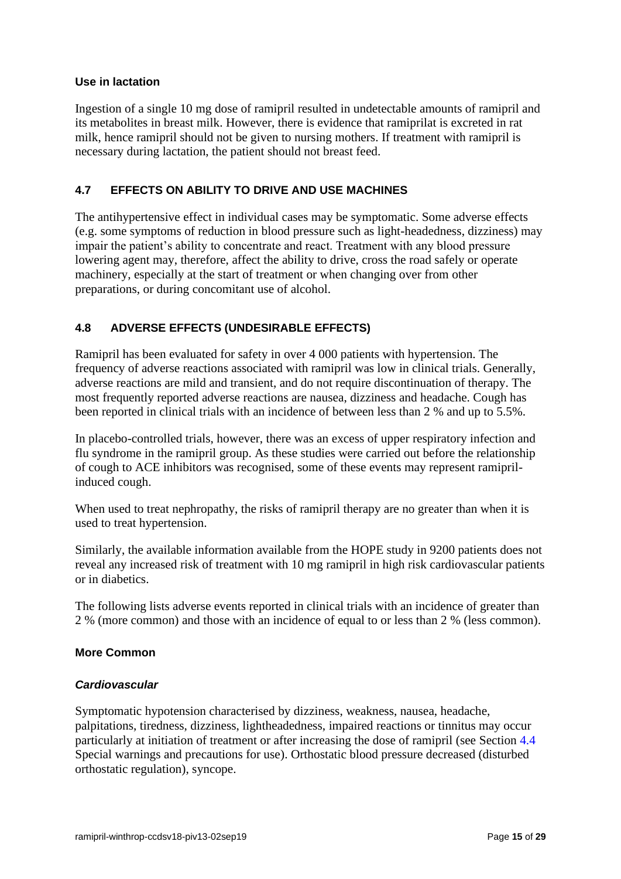## **Use in lactation**

Ingestion of a single 10 mg dose of ramipril resulted in undetectable amounts of ramipril and its metabolites in breast milk. However, there is evidence that ramiprilat is excreted in rat milk, hence ramipril should not be given to nursing mothers. If treatment with ramipril is necessary during lactation, the patient should not breast feed.

# **4.7 EFFECTS ON ABILITY TO DRIVE AND USE MACHINES**

The antihypertensive effect in individual cases may be symptomatic. Some adverse effects (e.g. some symptoms of reduction in blood pressure such as light-headedness, dizziness) may impair the patient's ability to concentrate and react. Treatment with any blood pressure lowering agent may, therefore, affect the ability to drive, cross the road safely or operate machinery, especially at the start of treatment or when changing over from other preparations, or during concomitant use of alcohol.

# <span id="page-14-0"></span>**4.8 ADVERSE EFFECTS (UNDESIRABLE EFFECTS)**

Ramipril has been evaluated for safety in over 4 000 patients with hypertension. The frequency of adverse reactions associated with ramipril was low in clinical trials. Generally, adverse reactions are mild and transient, and do not require discontinuation of therapy. The most frequently reported adverse reactions are nausea, dizziness and headache. Cough has been reported in clinical trials with an incidence of between less than 2 % and up to 5.5%.

In placebo-controlled trials, however, there was an excess of upper respiratory infection and flu syndrome in the ramipril group. As these studies were carried out before the relationship of cough to ACE inhibitors was recognised, some of these events may represent ramiprilinduced cough.

When used to treat nephropathy, the risks of ramipril therapy are no greater than when it is used to treat hypertension.

Similarly, the available information available from the HOPE study in 9200 patients does not reveal any increased risk of treatment with 10 mg ramipril in high risk cardiovascular patients or in diabetics.

The following lists adverse events reported in clinical trials with an incidence of greater than 2 % (more common) and those with an incidence of equal to or less than 2 % (less common).

## **More Common**

## *Cardiovascular*

Symptomatic hypotension characterised by dizziness, weakness, nausea, headache, palpitations, tiredness, dizziness, lightheadedness, impaired reactions or tinnitus may occur particularly at initiation of treatment or after increasing the dose of ramipril (see Section [4.4](#page-3-0) Special warnings and precautions for use). Orthostatic blood pressure decreased (disturbed orthostatic regulation), syncope.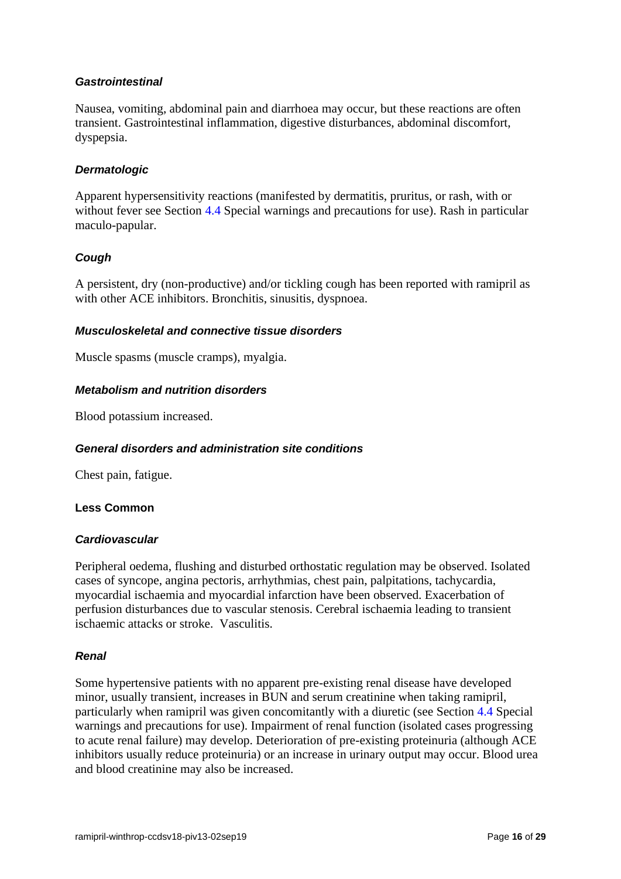## *Gastrointestinal*

Nausea, vomiting, abdominal pain and diarrhoea may occur, but these reactions are often transient. Gastrointestinal inflammation, digestive disturbances, abdominal discomfort, dyspepsia.

#### *Dermatologic*

Apparent hypersensitivity reactions (manifested by dermatitis, pruritus, or rash, with or without fever see Section [4.4](#page-3-0) Special warnings and precautions for use). Rash in particular maculo-papular.

#### *Cough*

A persistent, dry (non-productive) and/or tickling cough has been reported with ramipril as with other ACE inhibitors. Bronchitis, sinusitis, dyspnoea.

#### *Musculoskeletal and connective tissue disorders*

Muscle spasms (muscle cramps), myalgia.

#### *Metabolism and nutrition disorders*

Blood potassium increased.

#### *General disorders and administration site conditions*

Chest pain, fatigue.

#### **Less Common**

#### *Cardiovascular*

Peripheral oedema, flushing and disturbed orthostatic regulation may be observed. Isolated cases of syncope, angina pectoris, arrhythmias, chest pain, palpitations, tachycardia, myocardial ischaemia and myocardial infarction have been observed. Exacerbation of perfusion disturbances due to vascular stenosis. Cerebral ischaemia leading to transient ischaemic attacks or stroke. Vasculitis.

#### *Renal*

Some hypertensive patients with no apparent pre-existing renal disease have developed minor, usually transient, increases in BUN and serum creatinine when taking ramipril, particularly when ramipril was given concomitantly with a diuretic (see Section [4.4](#page-3-0) Special warnings and precautions for use). Impairment of renal function (isolated cases progressing to acute renal failure) may develop. Deterioration of pre-existing proteinuria (although ACE inhibitors usually reduce proteinuria) or an increase in urinary output may occur. Blood urea and blood creatinine may also be increased.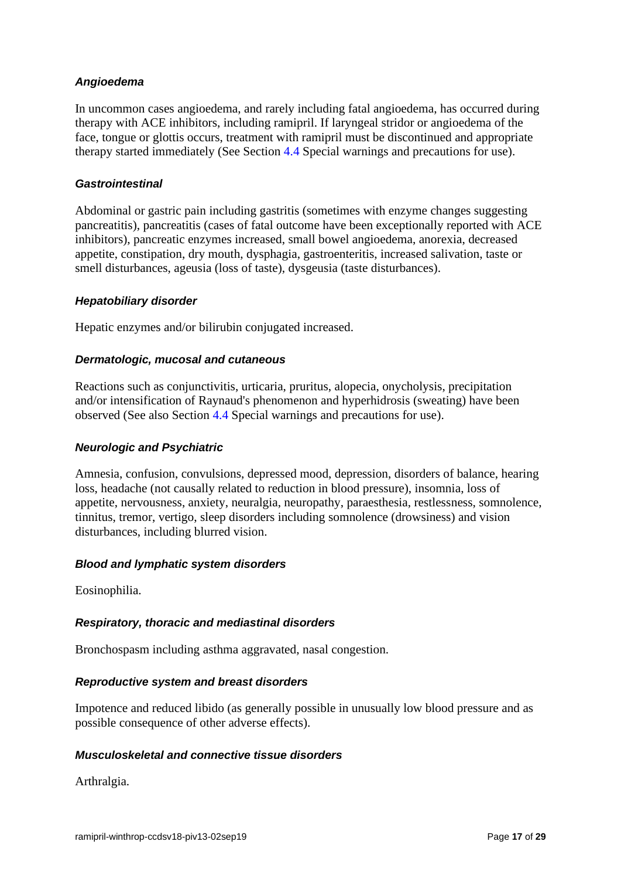# *Angioedema*

In uncommon cases angioedema, and rarely including fatal angioedema, has occurred during therapy with ACE inhibitors, including ramipril. If laryngeal stridor or angioedema of the face, tongue or glottis occurs, treatment with ramipril must be discontinued and appropriate therapy started immediately (See Section [4.4](#page-3-0) Special warnings and precautions for use).

## *Gastrointestinal*

Abdominal or gastric pain including gastritis (sometimes with enzyme changes suggesting pancreatitis), pancreatitis (cases of fatal outcome have been exceptionally reported with ACE inhibitors), pancreatic enzymes increased, small bowel angioedema, anorexia, decreased appetite, constipation, dry mouth, dysphagia, gastroenteritis, increased salivation, taste or smell disturbances, ageusia (loss of taste), dysgeusia (taste disturbances).

## *Hepatobiliary disorder*

Hepatic enzymes and/or bilirubin conjugated increased.

# *Dermatologic, mucosal and cutaneous*

Reactions such as conjunctivitis, urticaria, pruritus, alopecia, onycholysis, precipitation and/or intensification of Raynaud's phenomenon and hyperhidrosis (sweating) have been observed (See also Section [4.4](#page-3-0) Special warnings and precautions for use).

## *Neurologic and Psychiatric*

Amnesia, confusion, convulsions, depressed mood, depression, disorders of balance, hearing loss, headache (not causally related to reduction in blood pressure), insomnia, loss of appetite, nervousness, anxiety, neuralgia, neuropathy, paraesthesia, restlessness, somnolence, tinnitus, tremor, vertigo, sleep disorders including somnolence (drowsiness) and vision disturbances, including blurred vision.

## *Blood and lymphatic system disorders*

Eosinophilia.

## *Respiratory, thoracic and mediastinal disorders*

Bronchospasm including asthma aggravated, nasal congestion.

## *Reproductive system and breast disorders*

Impotence and reduced libido (as generally possible in unusually low blood pressure and as possible consequence of other adverse effects).

## *Musculoskeletal and connective tissue disorders*

Arthralgia.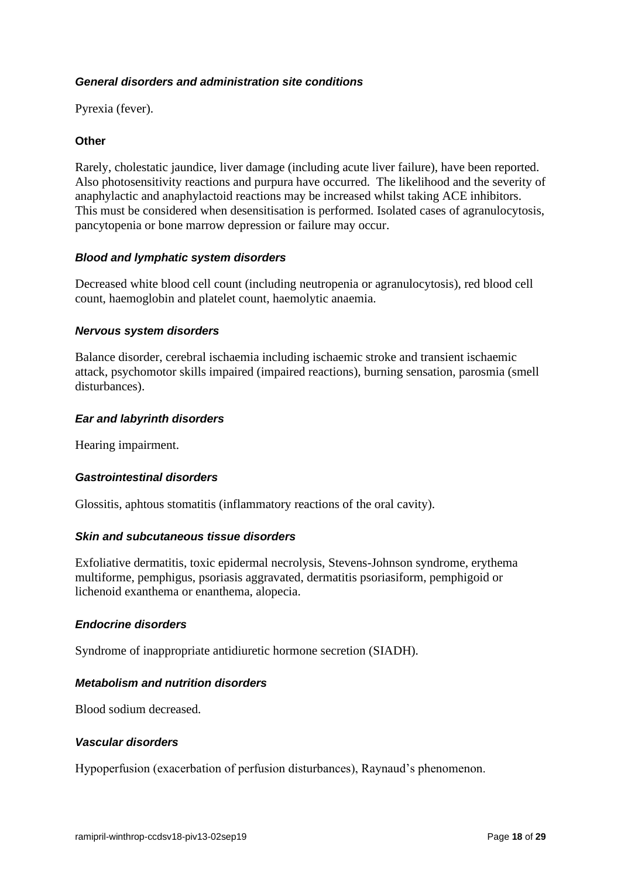## *General disorders and administration site conditions*

Pyrexia (fever).

#### **Other**

Rarely, cholestatic jaundice, liver damage (including acute liver failure), have been reported. Also photosensitivity reactions and purpura have occurred. The likelihood and the severity of anaphylactic and anaphylactoid reactions may be increased whilst taking ACE inhibitors. This must be considered when desensitisation is performed. Isolated cases of agranulocytosis, pancytopenia or bone marrow depression or failure may occur.

#### *Blood and lymphatic system disorders*

Decreased white blood cell count (including neutropenia or agranulocytosis), red blood cell count, haemoglobin and platelet count, haemolytic anaemia.

#### *Nervous system disorders*

Balance disorder, cerebral ischaemia including ischaemic stroke and transient ischaemic attack, psychomotor skills impaired (impaired reactions), burning sensation, parosmia (smell disturbances).

#### *Ear and labyrinth disorders*

Hearing impairment.

#### *Gastrointestinal disorders*

Glossitis, aphtous stomatitis (inflammatory reactions of the oral cavity).

#### *Skin and subcutaneous tissue disorders*

Exfoliative dermatitis, toxic epidermal necrolysis, Stevens-Johnson syndrome, erythema multiforme, pemphigus, psoriasis aggravated, dermatitis psoriasiform, pemphigoid or lichenoid exanthema or enanthema, alopecia.

#### *Endocrine disorders*

Syndrome of inappropriate antidiuretic hormone secretion (SIADH).

## *Metabolism and nutrition disorders*

Blood sodium decreased.

#### *Vascular disorders*

Hypoperfusion (exacerbation of perfusion disturbances), Raynaud's phenomenon.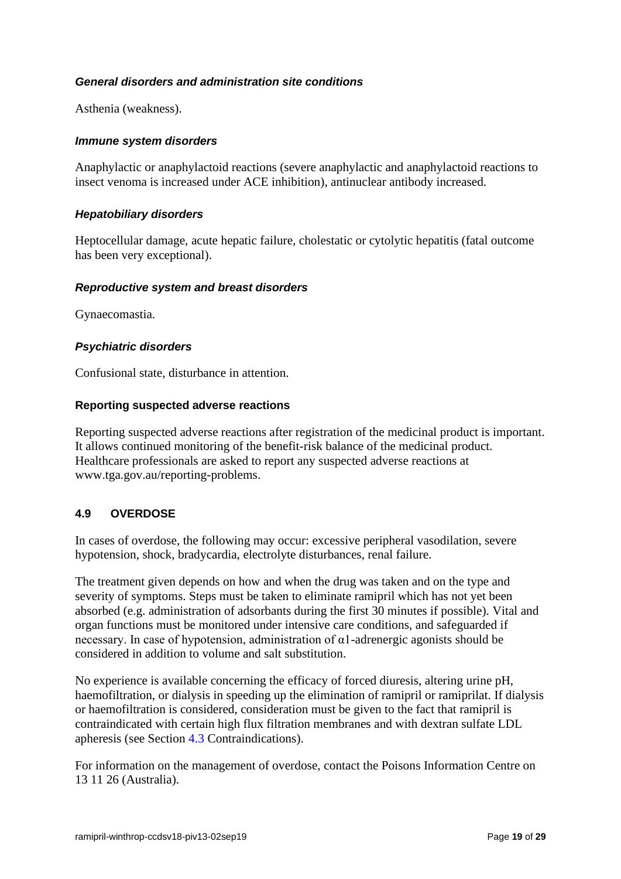## *General disorders and administration site conditions*

Asthenia (weakness).

## *Immune system disorders*

Anaphylactic or anaphylactoid reactions (severe anaphylactic and anaphylactoid reactions to insect venoma is increased under ACE inhibition), antinuclear antibody increased.

## *Hepatobiliary disorders*

Heptocellular damage, acute hepatic failure, cholestatic or cytolytic hepatitis (fatal outcome has been very exceptional).

## *Reproductive system and breast disorders*

Gynaecomastia.

## *Psychiatric disorders*

Confusional state, disturbance in attention.

## **Reporting suspected adverse reactions**

Reporting suspected adverse reactions after registration of the medicinal product is important. It allows continued monitoring of the benefit-risk balance of the medicinal product. Healthcare professionals are asked to report any suspected adverse reactions at [www.tga.gov.au/reporting-problems.](http://www.tga.gov.au/reporting-problems)

## **4.9 OVERDOSE**

In cases of overdose, the following may occur: excessive peripheral vasodilation, severe hypotension, shock, bradycardia, electrolyte disturbances, renal failure.

The treatment given depends on how and when the drug was taken and on the type and severity of symptoms. Steps must be taken to eliminate ramipril which has not yet been absorbed (e.g. administration of adsorbants during the first 30 minutes if possible). Vital and organ functions must be monitored under intensive care conditions, and safeguarded if necessary. In case of hypotension, administration of  $\alpha$ 1-adrenergic agonists should be considered in addition to volume and salt substitution.

No experience is available concerning the efficacy of forced diuresis, altering urine pH, haemofiltration, or dialysis in speeding up the elimination of ramipril or ramiprilat. If dialysis or haemofiltration is considered, consideration must be given to the fact that ramipril is contraindicated with certain high flux filtration membranes and with dextran sulfate LDL apheresis (see Section [4.3](#page-3-1) Contraindications).

For information on the management of overdose, contact the Poisons Information Centre on 13 11 26 (Australia).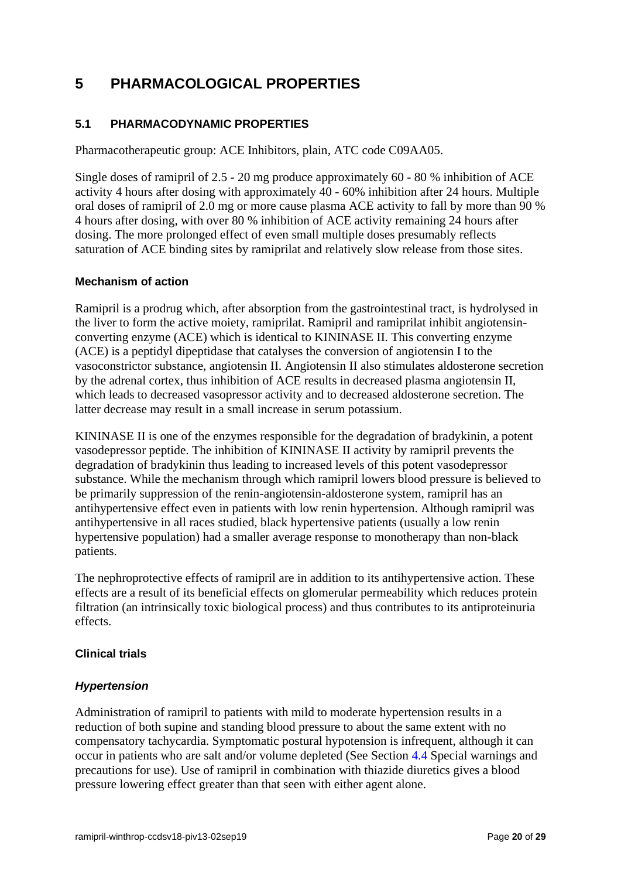# **5 PHARMACOLOGICAL PROPERTIES**

# **5.1 PHARMACODYNAMIC PROPERTIES**

Pharmacotherapeutic group: ACE Inhibitors, plain, ATC code C09AA05.

Single doses of ramipril of 2.5 - 20 mg produce approximately 60 - 80 % inhibition of ACE activity 4 hours after dosing with approximately 40 - 60% inhibition after 24 hours. Multiple oral doses of ramipril of 2.0 mg or more cause plasma ACE activity to fall by more than 90 % 4 hours after dosing, with over 80 % inhibition of ACE activity remaining 24 hours after dosing. The more prolonged effect of even small multiple doses presumably reflects saturation of ACE binding sites by ramiprilat and relatively slow release from those sites.

# **Mechanism of action**

Ramipril is a prodrug which, after absorption from the gastrointestinal tract, is hydrolysed in the liver to form the active moiety, ramiprilat. Ramipril and ramiprilat inhibit angiotensinconverting enzyme (ACE) which is identical to KININASE II. This converting enzyme (ACE) is a peptidyl dipeptidase that catalyses the conversion of angiotensin I to the vasoconstrictor substance, angiotensin II. Angiotensin II also stimulates aldosterone secretion by the adrenal cortex, thus inhibition of ACE results in decreased plasma angiotensin II, which leads to decreased vasopressor activity and to decreased aldosterone secretion. The latter decrease may result in a small increase in serum potassium.

KININASE II is one of the enzymes responsible for the degradation of bradykinin, a potent vasodepressor peptide. The inhibition of KININASE II activity by ramipril prevents the degradation of bradykinin thus leading to increased levels of this potent vasodepressor substance. While the mechanism through which ramipril lowers blood pressure is believed to be primarily suppression of the renin-angiotensin-aldosterone system, ramipril has an antihypertensive effect even in patients with low renin hypertension. Although ramipril was antihypertensive in all races studied, black hypertensive patients (usually a low renin hypertensive population) had a smaller average response to monotherapy than non-black patients.

The nephroprotective effects of ramipril are in addition to its antihypertensive action. These effects are a result of its beneficial effects on glomerular permeability which reduces protein filtration (an intrinsically toxic biological process) and thus contributes to its antiproteinuria effects.

## **Clinical trials**

## *Hypertension*

Administration of ramipril to patients with mild to moderate hypertension results in a reduction of both supine and standing blood pressure to about the same extent with no compensatory tachycardia. Symptomatic postural hypotension is infrequent, although it can occur in patients who are salt and/or volume depleted (See Section [4.4](#page-3-0) Special warnings and precautions for use). Use of ramipril in combination with thiazide diuretics gives a blood pressure lowering effect greater than that seen with either agent alone.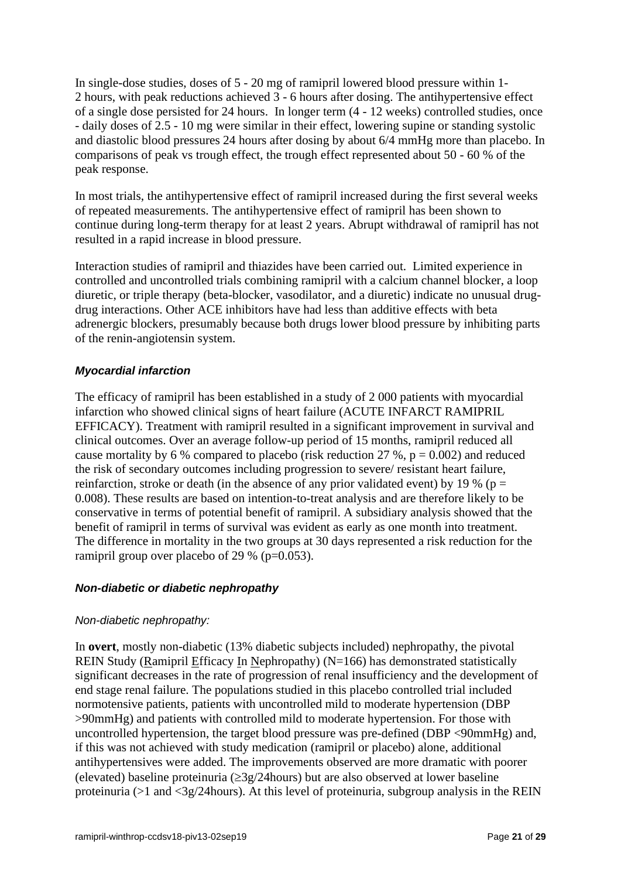In single-dose studies, doses of 5 - 20 mg of ramipril lowered blood pressure within 1- 2 hours, with peak reductions achieved 3 - 6 hours after dosing. The antihypertensive effect of a single dose persisted for 24 hours. In longer term (4 - 12 weeks) controlled studies, once - daily doses of 2.5 - 10 mg were similar in their effect, lowering supine or standing systolic and diastolic blood pressures 24 hours after dosing by about 6/4 mmHg more than placebo. In comparisons of peak vs trough effect, the trough effect represented about 50 - 60 % of the peak response.

In most trials, the antihypertensive effect of ramipril increased during the first several weeks of repeated measurements. The antihypertensive effect of ramipril has been shown to continue during long-term therapy for at least 2 years. Abrupt withdrawal of ramipril has not resulted in a rapid increase in blood pressure.

Interaction studies of ramipril and thiazides have been carried out. Limited experience in controlled and uncontrolled trials combining ramipril with a calcium channel blocker, a loop diuretic, or triple therapy (beta-blocker, vasodilator, and a diuretic) indicate no unusual drugdrug interactions. Other ACE inhibitors have had less than additive effects with beta adrenergic blockers, presumably because both drugs lower blood pressure by inhibiting parts of the renin-angiotensin system.

# *Myocardial infarction*

The efficacy of ramipril has been established in a study of 2 000 patients with myocardial infarction who showed clinical signs of heart failure (ACUTE INFARCT RAMIPRIL EFFICACY). Treatment with ramipril resulted in a significant improvement in survival and clinical outcomes. Over an average follow-up period of 15 months, ramipril reduced all cause mortality by 6 % compared to placebo (risk reduction 27 %,  $p = 0.002$ ) and reduced the risk of secondary outcomes including progression to severe/ resistant heart failure, reinfarction, stroke or death (in the absence of any prior validated event) by 19 % ( $p =$ 0.008). These results are based on intention-to-treat analysis and are therefore likely to be conservative in terms of potential benefit of ramipril. A subsidiary analysis showed that the benefit of ramipril in terms of survival was evident as early as one month into treatment. The difference in mortality in the two groups at 30 days represented a risk reduction for the ramipril group over placebo of 29 % ( $p=0.053$ ).

## *Non-diabetic or diabetic nephropathy*

## *Non-diabetic nephropathy:*

In **overt**, mostly non-diabetic (13% diabetic subjects included) nephropathy, the pivotal REIN Study (Ramipril Efficacy In Nephropathy) (N=166) has demonstrated statistically significant decreases in the rate of progression of renal insufficiency and the development of end stage renal failure. The populations studied in this placebo controlled trial included normotensive patients, patients with uncontrolled mild to moderate hypertension (DBP >90mmHg) and patients with controlled mild to moderate hypertension. For those with uncontrolled hypertension, the target blood pressure was pre-defined (DBP <90mmHg) and, if this was not achieved with study medication (ramipril or placebo) alone, additional antihypertensives were added. The improvements observed are more dramatic with poorer (elevated) baseline proteinuria ( $\geq$ 3g/24hours) but are also observed at lower baseline proteinuria (>1 and <3g/24hours). At this level of proteinuria, subgroup analysis in the REIN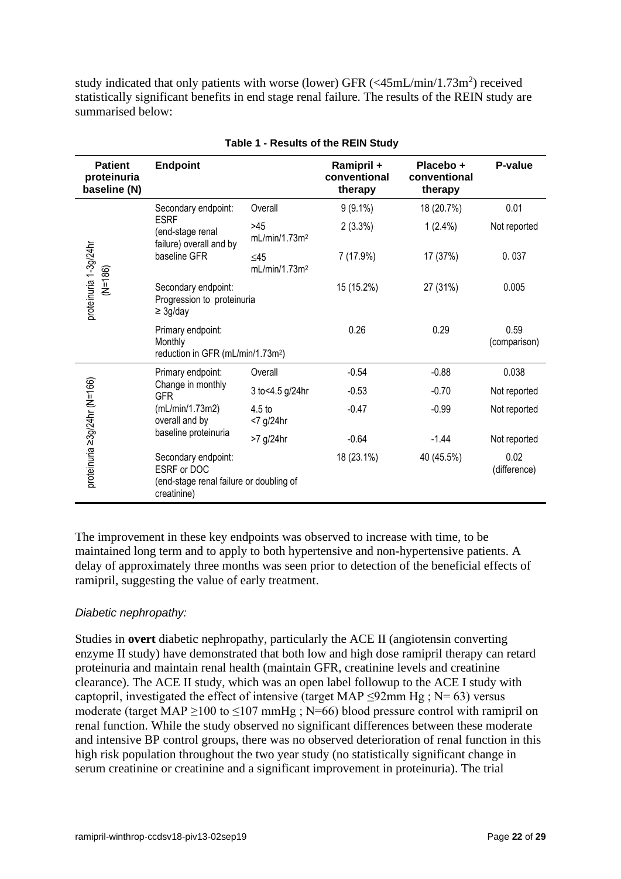study indicated that only patients with worse (lower) GFR  $\left(<\frac{45 \text{mL/min}}{1.73 \text{m}^2}\right)$  received statistically significant benefits in end stage renal failure. The results of the REIN study are summarised below:

| <b>Patient</b><br>proteinuria<br>baseline (N) | <b>Endpoint</b>                                                                                                   |                                        | Ramipril +<br>conventional<br>therapy | Placebo +<br>conventional<br>therapy | P-value              |
|-----------------------------------------------|-------------------------------------------------------------------------------------------------------------------|----------------------------------------|---------------------------------------|--------------------------------------|----------------------|
| proteinuria 1-3g/24hr<br>$(M=186)$            | Secondary endpoint:<br><b>ESRF</b><br>(end-stage renal<br>failure) overall and by<br>baseline GFR                 | Overall                                | $9(9.1\%)$                            | 18 (20.7%)                           | 0.01                 |
|                                               |                                                                                                                   | >45<br>mL/min/1.73m <sup>2</sup>       | $2(3.3\%)$                            | $1(2.4\%)$                           | Not reported         |
|                                               |                                                                                                                   | $\leq 45$<br>mL/min/1.73m <sup>2</sup> | 7 (17.9%)                             | 17 (37%)                             | 0.037                |
|                                               | Secondary endpoint:<br>Progression to proteinuria<br>$\geq$ 3g/day                                                |                                        | 15 (15.2%)                            | 27 (31%)                             | 0.005                |
|                                               | Primary endpoint:<br>Monthly<br>reduction in GFR (mL/min/1.73m <sup>2</sup> )                                     |                                        | 0.26                                  | 0.29                                 | 0.59<br>(comparison) |
|                                               | Primary endpoint:<br>Change in monthly<br><b>GFR</b><br>(mL/min/1.73m2)<br>overall and by<br>baseline proteinuria | Overall                                | $-0.54$                               | $-0.88$                              | 0.038                |
|                                               |                                                                                                                   | 3 to<4.5 g/24hr                        | $-0.53$                               | $-0.70$                              | Not reported         |
| proteinuria ≥3g/24hr (N=166)                  |                                                                                                                   | 4.5 <sub>to</sub><br><7 g/24hr         | $-0.47$                               | $-0.99$                              | Not reported         |
|                                               |                                                                                                                   | >7 g/24hr                              | $-0.64$                               | $-1.44$                              | Not reported         |
|                                               | Secondary endpoint:<br>ESRE or DOC<br>(end-stage renal failure or doubling of<br>creatinine)                      |                                        | 18 (23.1%)                            | 40 (45.5%)                           | 0.02<br>(difference) |

#### **Table 1 - Results of the REIN Study**

The improvement in these key endpoints was observed to increase with time, to be maintained long term and to apply to both hypertensive and non-hypertensive patients. A delay of approximately three months was seen prior to detection of the beneficial effects of ramipril, suggesting the value of early treatment.

## *Diabetic nephropathy:*

Studies in **overt** diabetic nephropathy, particularly the ACE II (angiotensin converting enzyme II study) have demonstrated that both low and high dose ramipril therapy can retard proteinuria and maintain renal health (maintain GFR, creatinine levels and creatinine clearance). The ACE II study, which was an open label followup to the ACE I study with captopril, investigated the effect of intensive (target MAP  $\leq$ 92mm Hg; N= 63) versus moderate (target MAP ≥100 to ≤107 mmHg ; N=66) blood pressure control with ramipril on renal function. While the study observed no significant differences between these moderate and intensive BP control groups, there was no observed deterioration of renal function in this high risk population throughout the two year study (no statistically significant change in serum creatinine or creatinine and a significant improvement in proteinuria). The trial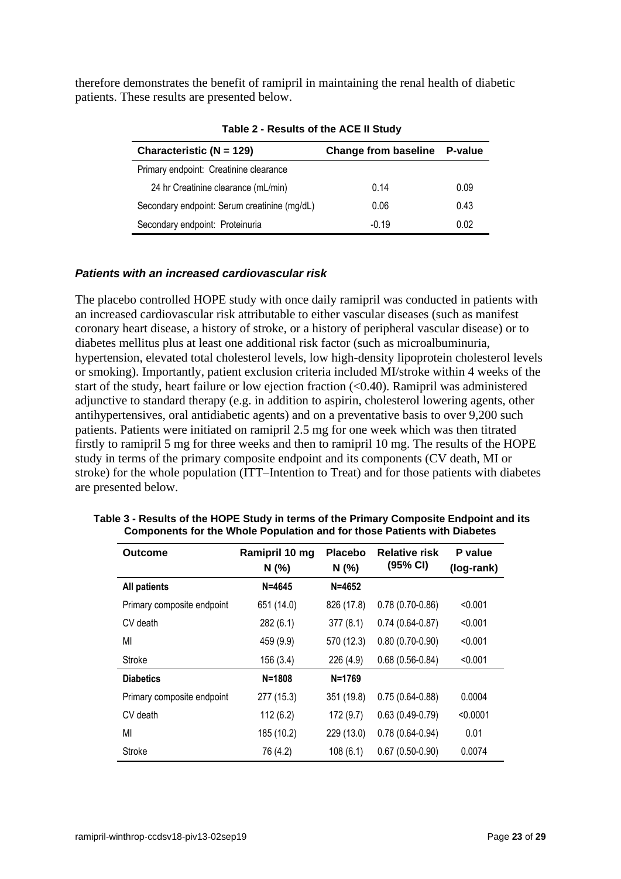therefore demonstrates the benefit of ramipril in maintaining the renal health of diabetic patients. These results are presented below.

| Characteristic ( $N = 129$ )                 | <b>Change from baseline</b> | P-value |
|----------------------------------------------|-----------------------------|---------|
| Primary endpoint: Creatinine clearance       |                             |         |
| 24 hr Creatinine clearance (mL/min)          | 0.14                        | 0.09    |
| Secondary endpoint: Serum creatinine (mg/dL) | 0.06                        | 0.43    |
| Secondary endpoint: Proteinuria              | $-0.19$                     | 0.02    |

**Table 2 - Results of the ACE II Study**

#### *Patients with an increased cardiovascular risk*

The placebo controlled HOPE study with once daily ramipril was conducted in patients with an increased cardiovascular risk attributable to either vascular diseases (such as manifest coronary heart disease, a history of stroke, or a history of peripheral vascular disease) or to diabetes mellitus plus at least one additional risk factor (such as microalbuminuria, hypertension, elevated total cholesterol levels, low high-density lipoprotein cholesterol levels or smoking). Importantly, patient exclusion criteria included MI/stroke within 4 weeks of the start of the study, heart failure or low ejection fraction (<0.40). Ramipril was administered adjunctive to standard therapy (e.g. in addition to aspirin, cholesterol lowering agents, other antihypertensives, oral antidiabetic agents) and on a preventative basis to over 9,200 such patients. Patients were initiated on ramipril 2.5 mg for one week which was then titrated firstly to ramipril 5 mg for three weeks and then to ramipril 10 mg. The results of the HOPE study in terms of the primary composite endpoint and its components (CV death, MI or stroke) for the whole population (ITT–Intention to Treat) and for those patients with diabetes are presented below.

| Outcome                    | Ramipril 10 mg<br>N (%) | <b>Placebo</b><br>N(% | <b>Relative risk</b><br>(95% CI) | P value<br>(log-rank) |
|----------------------------|-------------------------|-----------------------|----------------------------------|-----------------------|
| <b>All patients</b>        | $N = 4645$              | $N = 4652$            |                                  |                       |
| Primary composite endpoint | 651 (14.0)              | 826 (17.8)            | $0.78(0.70-0.86)$                | < 0.001               |
| CV death                   | 282 (6.1)               | 377(8.1)              | $0.74(0.64-0.87)$                | < 0.001               |
| MI                         | 459 (9.9)               | 570 (12.3)            | $0.80(0.70-0.90)$                | < 0.001               |
| Stroke                     | 156(3.4)                | 226 (4.9)             | $0.68(0.56-0.84)$                | < 0.001               |
| <b>Diabetics</b>           | $N = 1808$              | $N = 1769$            |                                  |                       |
| Primary composite endpoint | 277 (15.3)              | 351 (19.8)            | $0.75(0.64-0.88)$                | 0.0004                |
| CV death                   | 112(6.2)                | 172(9.7)              | $0.63(0.49-0.79)$                | < 0.0001              |
| MI                         | 185 (10.2)              | 229 (13.0)            | $0.78(0.64 - 0.94)$              | 0.01                  |
| Stroke                     | 76 (4.2)                | 108(6.1)              | $0.67(0.50-0.90)$                | 0.0074                |

**Table 3 - Results of the HOPE Study in terms of the Primary Composite Endpoint and its Components for the Whole Population and for those Patients with Diabetes**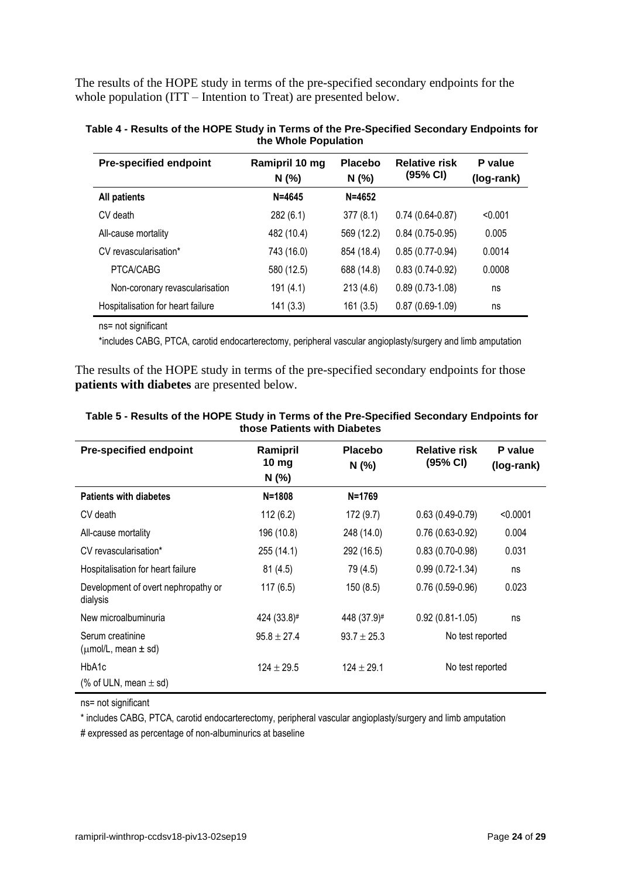The results of the HOPE study in terms of the pre-specified secondary endpoints for the whole population (ITT – Intention to Treat) are presented below.

| <b>Pre-specified endpoint</b>     | Ramipril 10 mg<br>N(% | <b>Placebo</b><br>N(% | <b>Relative risk</b><br>(95% CI) | P value<br>(log-rank) |
|-----------------------------------|-----------------------|-----------------------|----------------------------------|-----------------------|
| <b>All patients</b>               | $N = 4645$            | $N = 4652$            |                                  |                       |
| CV death                          | 282 (6.1)             | 377(8.1)              | $0.74(0.64-0.87)$                | < 0.001               |
| All-cause mortality               | 482 (10.4)            | 569 (12.2)            | $0.84(0.75-0.95)$                | 0.005                 |
| CV revascularisation*             | 743 (16.0)            | 854 (18.4)            | $0.85(0.77-0.94)$                | 0.0014                |
| PTCA/CABG                         | 580 (12.5)            | 688 (14.8)            | $0.83(0.74-0.92)$                | 0.0008                |
| Non-coronary revascularisation    | 191(4.1)              | 213(4.6)              | $0.89(0.73-1.08)$                | ns                    |
| Hospitalisation for heart failure | 141(3.3)              | 161 (3.5)             | $0.87(0.69-1.09)$                | ns                    |

| Table 4 - Results of the HOPE Study in Terms of the Pre-Specified Secondary Endpoints for |
|-------------------------------------------------------------------------------------------|
| the Whole Population                                                                      |

ns= not significant

\*includes CABG, PTCA, carotid endocarterectomy, peripheral vascular angioplasty/surgery and limb amputation

The results of the HOPE study in terms of the pre-specified secondary endpoints for those **patients with diabetes** are presented below.

| <b>Pre-specified endpoint</b>                                       | Ramipril<br>10 mg<br>N(% | <b>Placebo</b><br>N(% | <b>Relative risk</b><br>(95% CI) | P value<br>(log-rank) |
|---------------------------------------------------------------------|--------------------------|-----------------------|----------------------------------|-----------------------|
| <b>Patients with diabetes</b>                                       | $N = 1808$               | $N = 1769$            |                                  |                       |
| CV death                                                            | 112(6.2)                 | 172 (9.7)             | $0.63(0.49-0.79)$                | < 0.0001              |
| All-cause mortality                                                 | 196 (10.8)               | 248 (14.0)            | $0.76(0.63-0.92)$                | 0.004                 |
| CV revascularisation*                                               | 255 (14.1)               | 292 (16.5)            | $0.83(0.70-0.98)$                | 0.031                 |
| Hospitalisation for heart failure                                   | 81(4.5)                  | 79 (4.5)              | $0.99(0.72 - 1.34)$              | ns                    |
| Development of overt nephropathy or<br>dialysis                     | 117(6.5)                 | 150(8.5)              | $0.76(0.59-0.96)$                | 0.023                 |
| New microalbuminuria                                                | 424 (33.8)#              | 448 (37.9)#           | $0.92(0.81-1.05)$                | ns                    |
| Serum creatinine<br>$(\mu \text{mol/L}, \text{mean} \pm \text{sd})$ | $95.8 \pm 27.4$          | $93.7 \pm 25.3$       | No test reported                 |                       |
| HbA1c                                                               | $124 \pm 29.5$           | $124 \pm 29.1$        | No test reported                 |                       |
| (% of ULN, mean $\pm$ sd)                                           |                          |                       |                                  |                       |

#### **Table 5 - Results of the HOPE Study in Terms of the Pre-Specified Secondary Endpoints for those Patients with Diabetes**

ns= not significant

\* includes CABG, PTCA, carotid endocarterectomy, peripheral vascular angioplasty/surgery and limb amputation

# expressed as percentage of non-albuminurics at baseline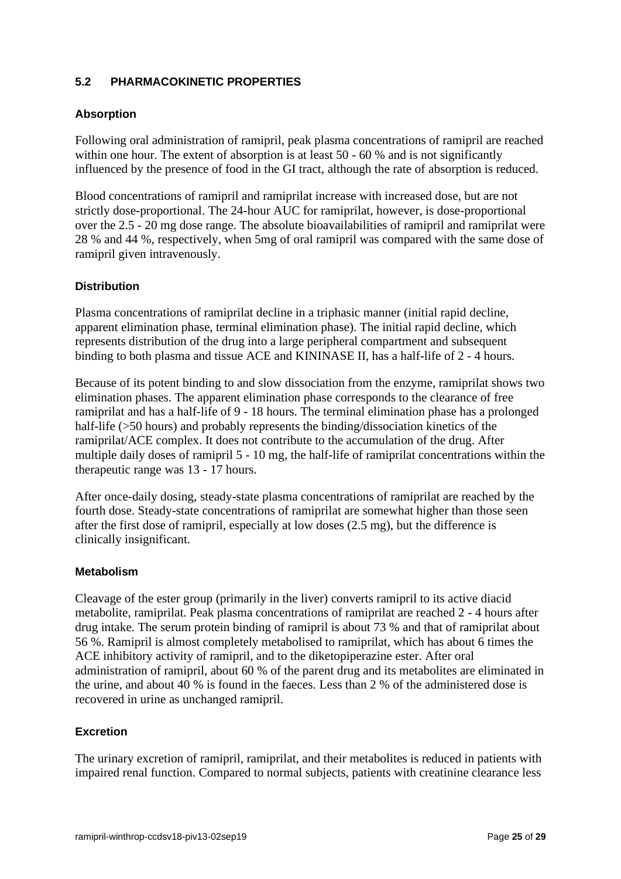# **5.2 PHARMACOKINETIC PROPERTIES**

## **Absorption**

Following oral administration of ramipril, peak plasma concentrations of ramipril are reached within one hour. The extent of absorption is at least 50 - 60 % and is not significantly influenced by the presence of food in the GI tract, although the rate of absorption is reduced.

Blood concentrations of ramipril and ramiprilat increase with increased dose, but are not strictly dose-proportional. The 24-hour AUC for ramiprilat, however, is dose-proportional over the 2.5 - 20 mg dose range. The absolute bioavailabilities of ramipril and ramiprilat were 28 % and 44 %, respectively, when 5mg of oral ramipril was compared with the same dose of ramipril given intravenously.

# **Distribution**

Plasma concentrations of ramiprilat decline in a triphasic manner (initial rapid decline, apparent elimination phase, terminal elimination phase). The initial rapid decline, which represents distribution of the drug into a large peripheral compartment and subsequent binding to both plasma and tissue ACE and KININASE II, has a half-life of 2 - 4 hours.

Because of its potent binding to and slow dissociation from the enzyme, ramiprilat shows two elimination phases. The apparent elimination phase corresponds to the clearance of free ramiprilat and has a half-life of 9 - 18 hours. The terminal elimination phase has a prolonged half-life (>50 hours) and probably represents the binding/dissociation kinetics of the ramiprilat/ACE complex. It does not contribute to the accumulation of the drug. After multiple daily doses of ramipril 5 - 10 mg, the half-life of ramiprilat concentrations within the therapeutic range was 13 - 17 hours.

After once-daily dosing, steady-state plasma concentrations of ramiprilat are reached by the fourth dose. Steady-state concentrations of ramiprilat are somewhat higher than those seen after the first dose of ramipril, especially at low doses (2.5 mg), but the difference is clinically insignificant.

## **Metabolism**

Cleavage of the ester group (primarily in the liver) converts ramipril to its active diacid metabolite, ramiprilat. Peak plasma concentrations of ramiprilat are reached 2 - 4 hours after drug intake. The serum protein binding of ramipril is about 73 % and that of ramiprilat about 56 %. Ramipril is almost completely metabolised to ramiprilat, which has about 6 times the ACE inhibitory activity of ramipril, and to the diketopiperazine ester. After oral administration of ramipril, about 60 % of the parent drug and its metabolites are eliminated in the urine, and about 40 % is found in the faeces. Less than 2 % of the administered dose is recovered in urine as unchanged ramipril.

## **Excretion**

The urinary excretion of ramipril, ramiprilat, and their metabolites is reduced in patients with impaired renal function. Compared to normal subjects, patients with creatinine clearance less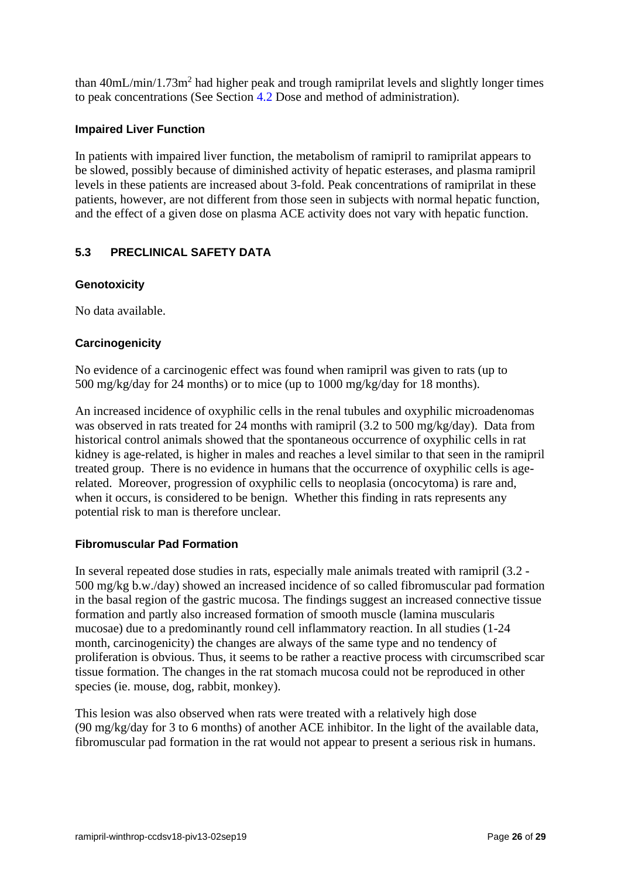than  $40$ mL/min/1.73m<sup>2</sup> had higher peak and trough ramiprilat levels and slightly longer times to peak concentrations (See Section [4.2](#page-1-0) Dose and method of administration).

## **Impaired Liver Function**

In patients with impaired liver function, the metabolism of ramipril to ramiprilat appears to be slowed, possibly because of diminished activity of hepatic esterases, and plasma ramipril levels in these patients are increased about 3-fold. Peak concentrations of ramiprilat in these patients, however, are not different from those seen in subjects with normal hepatic function, and the effect of a given dose on plasma ACE activity does not vary with hepatic function.

# **5.3 PRECLINICAL SAFETY DATA**

#### **Genotoxicity**

No data available.

## **Carcinogenicity**

No evidence of a carcinogenic effect was found when ramipril was given to rats (up to 500 mg/kg/day for 24 months) or to mice (up to 1000 mg/kg/day for 18 months).

An increased incidence of oxyphilic cells in the renal tubules and oxyphilic microadenomas was observed in rats treated for 24 months with ramipril (3.2 to 500 mg/kg/day). Data from historical control animals showed that the spontaneous occurrence of oxyphilic cells in rat kidney is age-related, is higher in males and reaches a level similar to that seen in the ramipril treated group. There is no evidence in humans that the occurrence of oxyphilic cells is agerelated. Moreover, progression of oxyphilic cells to neoplasia (oncocytoma) is rare and, when it occurs, is considered to be benign. Whether this finding in rats represents any potential risk to man is therefore unclear.

## **Fibromuscular Pad Formation**

In several repeated dose studies in rats, especially male animals treated with ramipril (3.2 - 500 mg/kg b.w./day) showed an increased incidence of so called fibromuscular pad formation in the basal region of the gastric mucosa. The findings suggest an increased connective tissue formation and partly also increased formation of smooth muscle (lamina muscularis mucosae) due to a predominantly round cell inflammatory reaction. In all studies (1-24 month, carcinogenicity) the changes are always of the same type and no tendency of proliferation is obvious. Thus, it seems to be rather a reactive process with circumscribed scar tissue formation. The changes in the rat stomach mucosa could not be reproduced in other species (ie. mouse, dog, rabbit, monkey).

This lesion was also observed when rats were treated with a relatively high dose (90 mg/kg/day for 3 to 6 months) of another ACE inhibitor. In the light of the available data, fibromuscular pad formation in the rat would not appear to present a serious risk in humans.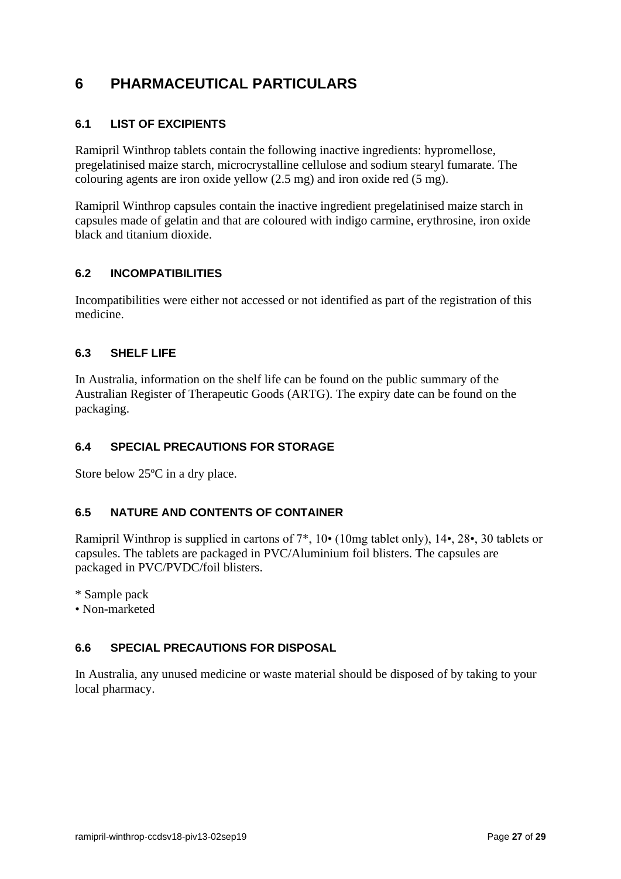# <span id="page-26-0"></span>**6 PHARMACEUTICAL PARTICULARS**

# **6.1 LIST OF EXCIPIENTS**

Ramipril Winthrop tablets contain the following inactive ingredients: hypromellose, pregelatinised maize starch, microcrystalline cellulose and sodium stearyl fumarate. The colouring agents are iron oxide yellow (2.5 mg) and iron oxide red (5 mg).

Ramipril Winthrop capsules contain the inactive ingredient pregelatinised maize starch in capsules made of gelatin and that are coloured with indigo carmine, erythrosine, iron oxide black and titanium dioxide.

# **6.2 INCOMPATIBILITIES**

Incompatibilities were either not accessed or not identified as part of the registration of this medicine.

# **6.3 SHELF LIFE**

In Australia, information on the shelf life can be found on the public summary of the Australian Register of Therapeutic Goods (ARTG). The expiry date can be found on the packaging.

# **6.4 SPECIAL PRECAUTIONS FOR STORAGE**

Store below 25ºC in a dry place.

## **6.5 NATURE AND CONTENTS OF CONTAINER**

Ramipril Winthrop is supplied in cartons of 7\*, 10• (10mg tablet only), 14•, 28•, 30 tablets or capsules. The tablets are packaged in PVC/Aluminium foil blisters. The capsules are packaged in PVC/PVDC/foil blisters.

\* Sample pack

• Non-marketed

# **6.6 SPECIAL PRECAUTIONS FOR DISPOSAL**

In Australia, any unused medicine or waste material should be disposed of by taking to your local pharmacy.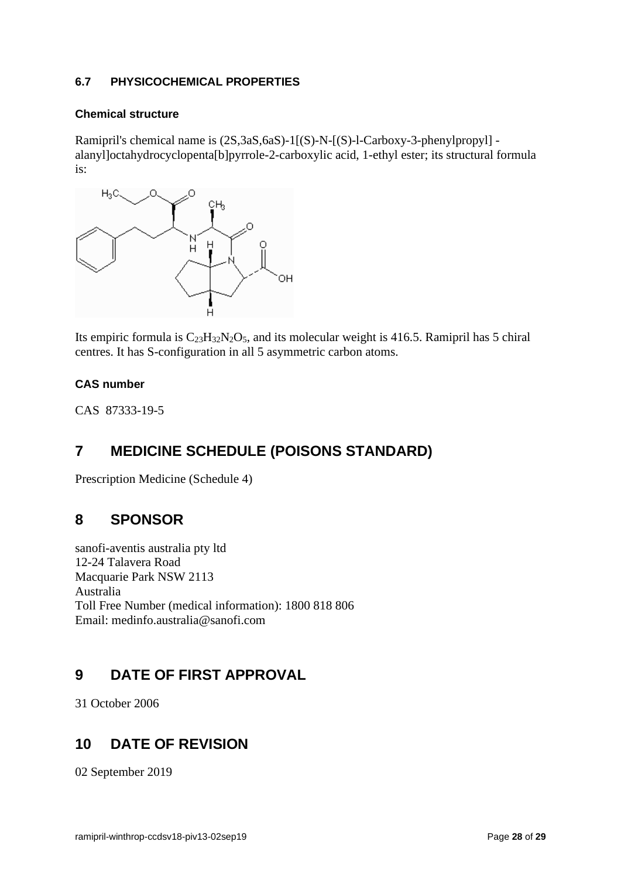# **6.7 PHYSICOCHEMICAL PROPERTIES**

## **Chemical structure**

Ramipril's chemical name is (2S,3aS,6aS)-1[(S)-N-[(S)-l-Carboxy-3-phenylpropyl] alanyl]octahydrocyclopenta[b]pyrrole-2-carboxylic acid, 1-ethyl ester; its structural formula is:



Its empiric formula is  $C_{23}H_{32}N_2O_5$ , and its molecular weight is 416.5. Ramipril has 5 chiral centres. It has S-configuration in all 5 asymmetric carbon atoms.

# **CAS number**

CAS 87333-19-5

# **7 MEDICINE SCHEDULE (POISONS STANDARD)**

Prescription Medicine (Schedule 4)

# **8 SPONSOR**

sanofi-aventis australia pty ltd 12-24 Talavera Road Macquarie Park NSW 2113 Australia Toll Free Number (medical information): 1800 818 806 Email: medinfo.australia@sanofi.com

# **9 DATE OF FIRST APPROVAL**

31 October 2006

# **10 DATE OF REVISION**

02 September 2019